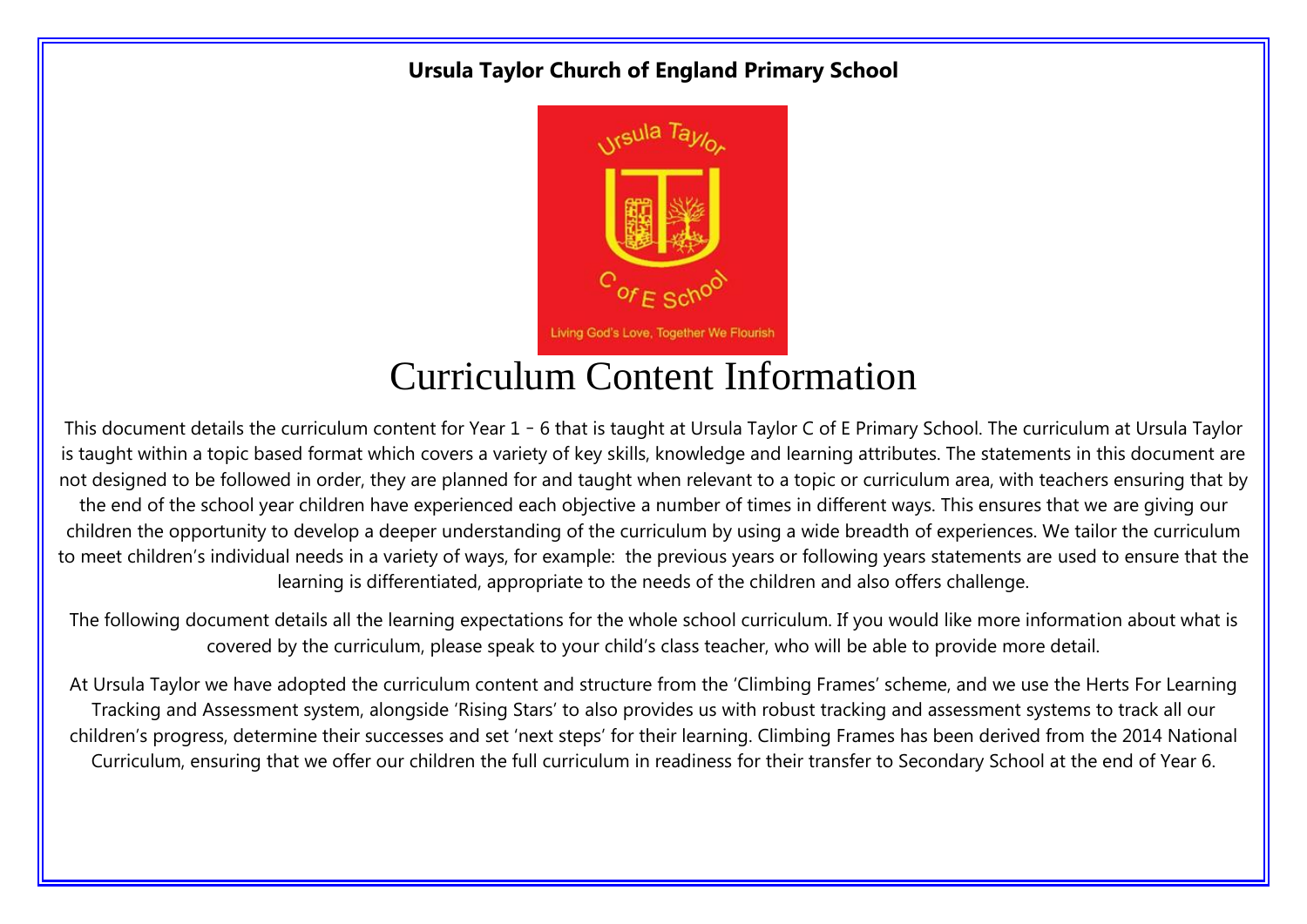#### **Ursula Taylor Church of England Primary School**



### Curriculum Content Information

This document details the curriculum content for Year 1 – 6 that is taught at Ursula Taylor C of E Primary School. The curriculum at Ursula Taylor is taught within a topic based format which covers a variety of key skills, knowledge and learning attributes. The statements in this document are not designed to be followed in order, they are planned for and taught when relevant to a topic or curriculum area, with teachers ensuring that by the end of the school year children have experienced each objective a number of times in different ways. This ensures that we are giving our children the opportunity to develop a deeper understanding of the curriculum by using a wide breadth of experiences. We tailor the curriculum to meet children's individual needs in a variety of ways, for example: the previous years or following years statements are used to ensure that the learning is differentiated, appropriate to the needs of the children and also offers challenge.

The following document details all the learning expectations for the whole school curriculum. If you would like more information about what is covered by the curriculum, please speak to your child's class teacher, who will be able to provide more detail.

At Ursula Taylor we have adopted the curriculum content and structure from the 'Climbing Frames' scheme, and we use the Herts For Learning Tracking and Assessment system, alongside 'Rising Stars' to also provides us with robust tracking and assessment systems to track all our children's progress, determine their successes and set 'next steps' for their learning. Climbing Frames has been derived from the 2014 National Curriculum, ensuring that we offer our children the full curriculum in readiness for their transfer to Secondary School at the end of Year 6.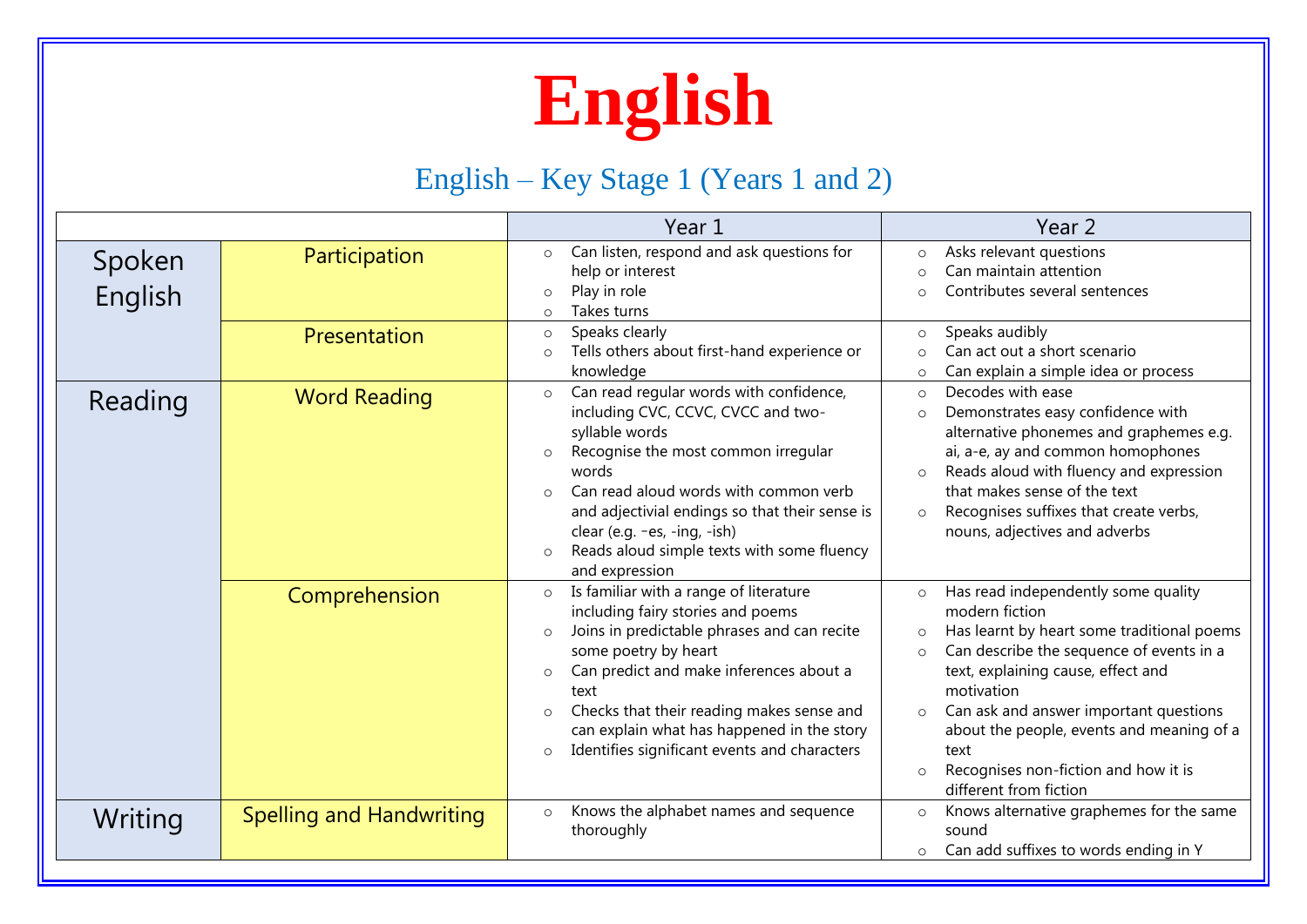

### English – Key Stage 1 (Years 1 and 2)

|                   |                                 | Year 1                                                                                                                                                                                                                                                                                                                                                                                                        | Year <sub>2</sub>                                                                                                                                                                                                                                                                                                                                                                                                           |
|-------------------|---------------------------------|---------------------------------------------------------------------------------------------------------------------------------------------------------------------------------------------------------------------------------------------------------------------------------------------------------------------------------------------------------------------------------------------------------------|-----------------------------------------------------------------------------------------------------------------------------------------------------------------------------------------------------------------------------------------------------------------------------------------------------------------------------------------------------------------------------------------------------------------------------|
| Spoken<br>English | Participation<br>Presentation   | Can listen, respond and ask questions for<br>$\circ$<br>help or interest<br>Play in role<br>$\circ$<br>Takes turns<br>$\circ$<br>Speaks clearly<br>$\circ$<br>Tells others about first-hand experience or<br>$\circ$                                                                                                                                                                                          | Asks relevant questions<br>$\circ$<br>Can maintain attention<br>$\cap$<br>Contributes several sentences<br>$\cap$<br>Speaks audibly<br>$\circ$<br>Can act out a short scenario<br>$\cap$                                                                                                                                                                                                                                    |
| Reading           | <b>Word Reading</b>             | knowledge<br>Can read regular words with confidence,<br>$\circ$<br>including CVC, CCVC, CVCC and two-<br>syllable words<br>Recognise the most common irregular<br>$\circ$<br>words<br>Can read aloud words with common verb<br>$\Omega$<br>and adjectivial endings so that their sense is<br>clear (e.g. $-es$ , $-ing$ , $-ish$ )<br>Reads aloud simple texts with some fluency<br>$\circ$<br>and expression | Can explain a simple idea or process<br>$\circ$<br>Decodes with ease<br>$\circ$<br>Demonstrates easy confidence with<br>$\circ$<br>alternative phonemes and graphemes e.g.<br>ai, a-e, ay and common homophones<br>Reads aloud with fluency and expression<br>$\circ$<br>that makes sense of the text<br>Recognises suffixes that create verbs,<br>$\circ$<br>nouns, adjectives and adverbs                                 |
|                   | Comprehension                   | Is familiar with a range of literature<br>$\circ$<br>including fairy stories and poems<br>Joins in predictable phrases and can recite<br>$\circ$<br>some poetry by heart<br>Can predict and make inferences about a<br>$\circ$<br>text<br>Checks that their reading makes sense and<br>$\circ$<br>can explain what has happened in the story<br>Identifies significant events and characters<br>$\circ$       | Has read independently some quality<br>$\circ$<br>modern fiction<br>Has learnt by heart some traditional poems<br>$\circ$<br>Can describe the sequence of events in a<br>$\circ$<br>text, explaining cause, effect and<br>motivation<br>Can ask and answer important questions<br>$\circ$<br>about the people, events and meaning of a<br>text<br>Recognises non-fiction and how it is<br>$\circ$<br>different from fiction |
| Writing           | <b>Spelling and Handwriting</b> | Knows the alphabet names and sequence<br>$\circ$<br>thoroughly                                                                                                                                                                                                                                                                                                                                                | Knows alternative graphemes for the same<br>$\circ$<br>sound<br>Can add suffixes to words ending in Y<br>$\circ$                                                                                                                                                                                                                                                                                                            |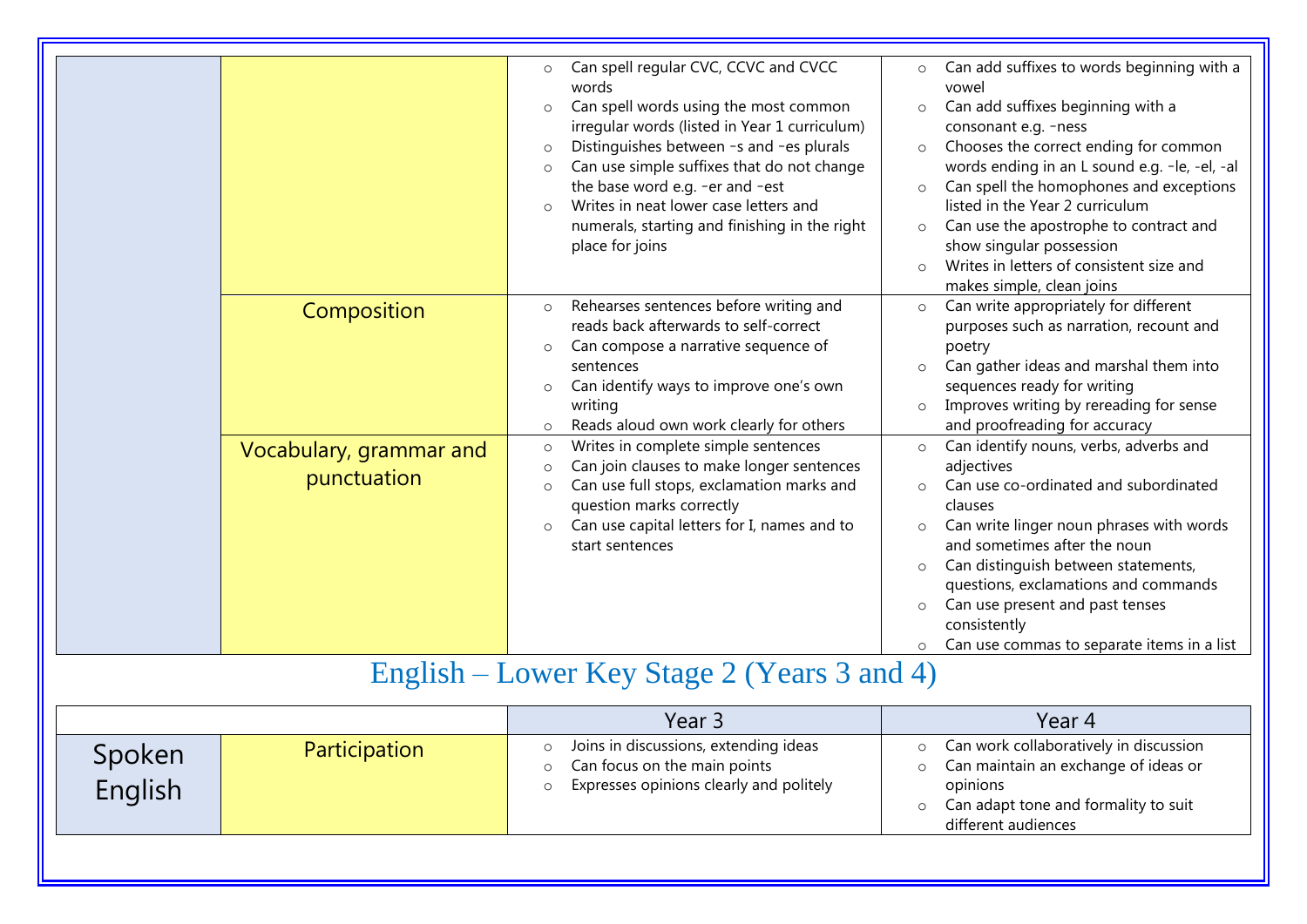| Composition<br>Vocabulary, grammar and<br>punctuation | Can spell regular CVC, CCVC and CVCC<br>words<br>Can spell words using the most common<br>$\circ$<br>irregular words (listed in Year 1 curriculum)<br>Distinguishes between -s and -es plurals<br>$\circ$<br>Can use simple suffixes that do not change<br>$\circ$<br>the base word e.g. -er and -est<br>Writes in neat lower case letters and<br>numerals, starting and finishing in the right<br>place for joins<br>Rehearses sentences before writing and<br>$\circ$<br>reads back afterwards to self-correct<br>Can compose a narrative sequence of<br>$\circ$<br>sentences<br>Can identify ways to improve one's own<br>$\circ$<br>writing<br>Reads aloud own work clearly for others<br>$\circ$<br>Writes in complete simple sentences<br>$\circ$<br>Can join clauses to make longer sentences<br>$\circ$<br>Can use full stops, exclamation marks and<br>$\circ$<br>question marks correctly<br>Can use capital letters for I, names and to<br>$\circ$<br>start sentences | Can add suffixes to words beginning with a<br>$\circ$<br>vowel<br>Can add suffixes beginning with a<br>$\circ$<br>consonant e.g. -ness<br>Chooses the correct ending for common<br>$\circ$<br>words ending in an L sound e.g. -le, -el, -al<br>Can spell the homophones and exceptions<br>$\circ$<br>listed in the Year 2 curriculum<br>Can use the apostrophe to contract and<br>$\circ$<br>show singular possession<br>Writes in letters of consistent size and<br>makes simple, clean joins<br>Can write appropriately for different<br>$\circ$<br>purposes such as narration, recount and<br>poetry<br>Can gather ideas and marshal them into<br>sequences ready for writing<br>Improves writing by rereading for sense<br>$\circ$<br>and proofreading for accuracy<br>Can identify nouns, verbs, adverbs and<br>$\circ$<br>adjectives<br>Can use co-ordinated and subordinated<br>$\Omega$<br>clauses<br>Can write linger noun phrases with words<br>$\circ$<br>and sometimes after the noun<br>Can distinguish between statements,<br>$\circ$<br>questions, exclamations and commands<br>Can use present and past tenses<br>$\circ$<br>consistently<br>Can use commas to separate items in a list |
|-------------------------------------------------------|----------------------------------------------------------------------------------------------------------------------------------------------------------------------------------------------------------------------------------------------------------------------------------------------------------------------------------------------------------------------------------------------------------------------------------------------------------------------------------------------------------------------------------------------------------------------------------------------------------------------------------------------------------------------------------------------------------------------------------------------------------------------------------------------------------------------------------------------------------------------------------------------------------------------------------------------------------------------------------|---------------------------------------------------------------------------------------------------------------------------------------------------------------------------------------------------------------------------------------------------------------------------------------------------------------------------------------------------------------------------------------------------------------------------------------------------------------------------------------------------------------------------------------------------------------------------------------------------------------------------------------------------------------------------------------------------------------------------------------------------------------------------------------------------------------------------------------------------------------------------------------------------------------------------------------------------------------------------------------------------------------------------------------------------------------------------------------------------------------------------------------------------------------------------------------------------------|
|                                                       | English – Lower Key Stage 2 (Years 3 and 4)                                                                                                                                                                                                                                                                                                                                                                                                                                                                                                                                                                                                                                                                                                                                                                                                                                                                                                                                      |                                                                                                                                                                                                                                                                                                                                                                                                                                                                                                                                                                                                                                                                                                                                                                                                                                                                                                                                                                                                                                                                                                                                                                                                         |

|                   |               | Year 3                                                                                                           | Year 4                                                                                                                                                        |
|-------------------|---------------|------------------------------------------------------------------------------------------------------------------|---------------------------------------------------------------------------------------------------------------------------------------------------------------|
| Spoken<br>English | Participation | Joins in discussions, extending ideas<br>Can focus on the main points<br>Expresses opinions clearly and politely | o Can work collaboratively in discussion<br>Can maintain an exchange of ideas or<br>opinions<br>o Can adapt tone and formality to suit<br>different audiences |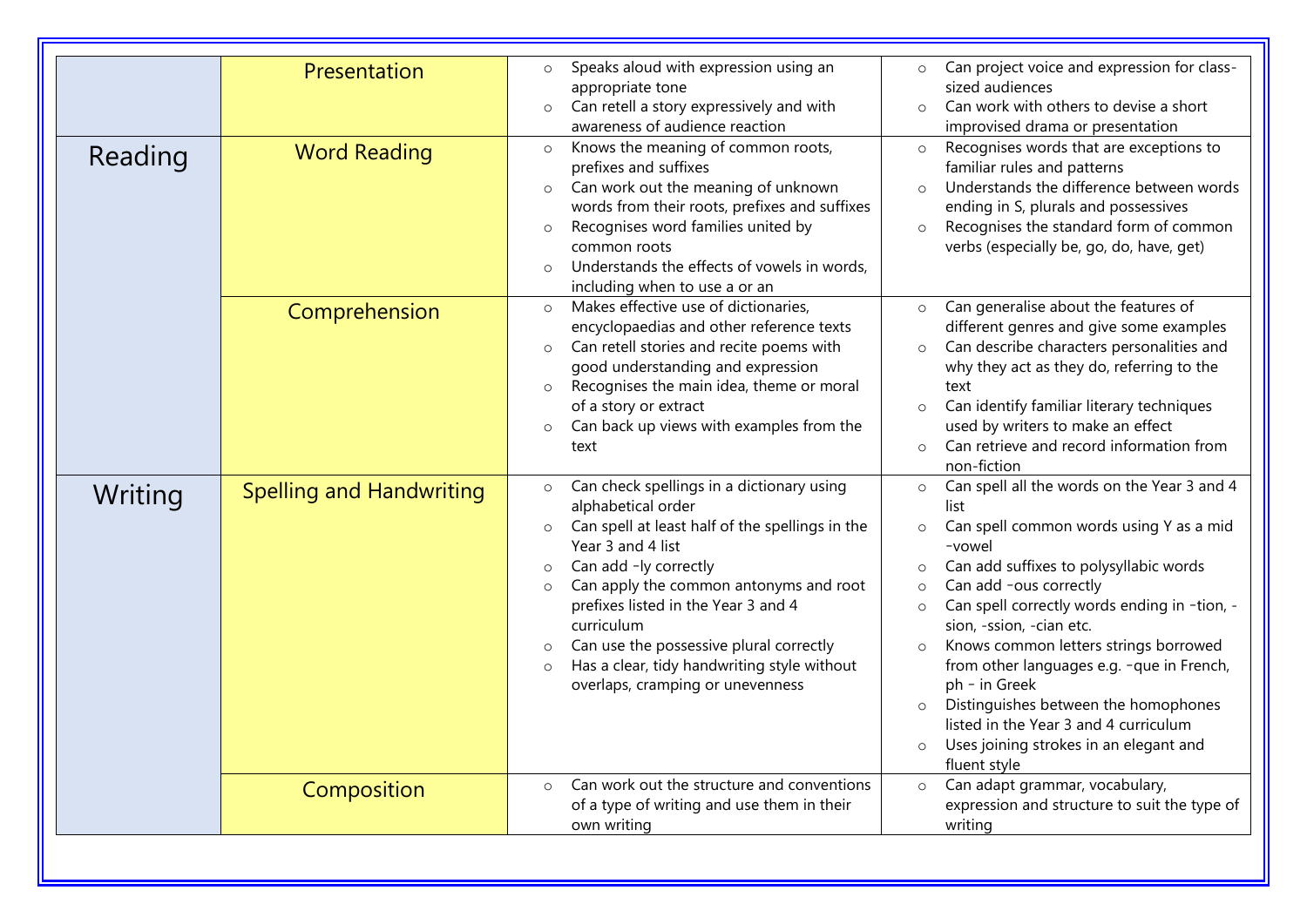|         | Presentation                    | Speaks aloud with expression using an<br>$\circ$<br>appropriate tone<br>Can retell a story expressively and with<br>$\circ$<br>awareness of audience reaction                                                                                                                                                                                                                                                                                        | Can project voice and expression for class-<br>$\circ$<br>sized audiences<br>Can work with others to devise a short<br>$\circ$<br>improvised drama or presentation                                                                                                                                                                                                                                                                                                                                                                                                                      |
|---------|---------------------------------|------------------------------------------------------------------------------------------------------------------------------------------------------------------------------------------------------------------------------------------------------------------------------------------------------------------------------------------------------------------------------------------------------------------------------------------------------|-----------------------------------------------------------------------------------------------------------------------------------------------------------------------------------------------------------------------------------------------------------------------------------------------------------------------------------------------------------------------------------------------------------------------------------------------------------------------------------------------------------------------------------------------------------------------------------------|
| Reading | <b>Word Reading</b>             | Knows the meaning of common roots,<br>$\circ$<br>prefixes and suffixes<br>Can work out the meaning of unknown<br>$\circ$<br>words from their roots, prefixes and suffixes<br>Recognises word families united by<br>$\circ$<br>common roots<br>Understands the effects of vowels in words,<br>$\circ$<br>including when to use a or an                                                                                                                | Recognises words that are exceptions to<br>$\circ$<br>familiar rules and patterns<br>Understands the difference between words<br>ending in S, plurals and possessives<br>Recognises the standard form of common<br>$\circ$<br>verbs (especially be, go, do, have, get)                                                                                                                                                                                                                                                                                                                  |
|         | Comprehension                   | Makes effective use of dictionaries,<br>$\circ$<br>encyclopaedias and other reference texts<br>Can retell stories and recite poems with<br>$\circ$<br>good understanding and expression<br>Recognises the main idea, theme or moral<br>$\circ$<br>of a story or extract<br>Can back up views with examples from the<br>$\circ$<br>text                                                                                                               | Can generalise about the features of<br>$\circ$<br>different genres and give some examples<br>Can describe characters personalities and<br>$\circ$<br>why they act as they do, referring to the<br>text<br>Can identify familiar literary techniques<br>$\circ$<br>used by writers to make an effect<br>Can retrieve and record information from<br>$\circ$<br>non-fiction                                                                                                                                                                                                              |
| Writing | <b>Spelling and Handwriting</b> | Can check spellings in a dictionary using<br>$\circ$<br>alphabetical order<br>Can spell at least half of the spellings in the<br>$\circ$<br>Year 3 and 4 list<br>Can add -ly correctly<br>$\circ$<br>Can apply the common antonyms and root<br>$\circ$<br>prefixes listed in the Year 3 and 4<br>curriculum<br>Can use the possessive plural correctly<br>Has a clear, tidy handwriting style without<br>$\circ$<br>overlaps, cramping or unevenness | Can spell all the words on the Year 3 and 4<br>$\circ$<br>list<br>Can spell common words using Y as a mid<br>$\circ$<br>-vowel<br>Can add suffixes to polysyllabic words<br>$\circ$<br>Can add -ous correctly<br>Can spell correctly words ending in -tion, -<br>$\circ$<br>sion, -ssion, -cian etc.<br>Knows common letters strings borrowed<br>$\circ$<br>from other languages e.g. -que in French,<br>ph - in Greek<br>Distinguishes between the homophones<br>$\circ$<br>listed in the Year 3 and 4 curriculum<br>Uses joining strokes in an elegant and<br>$\circ$<br>fluent style |
|         | Composition                     | Can work out the structure and conventions<br>$\circ$<br>of a type of writing and use them in their<br>own writing                                                                                                                                                                                                                                                                                                                                   | Can adapt grammar, vocabulary,<br>$\circ$<br>expression and structure to suit the type of<br>writing                                                                                                                                                                                                                                                                                                                                                                                                                                                                                    |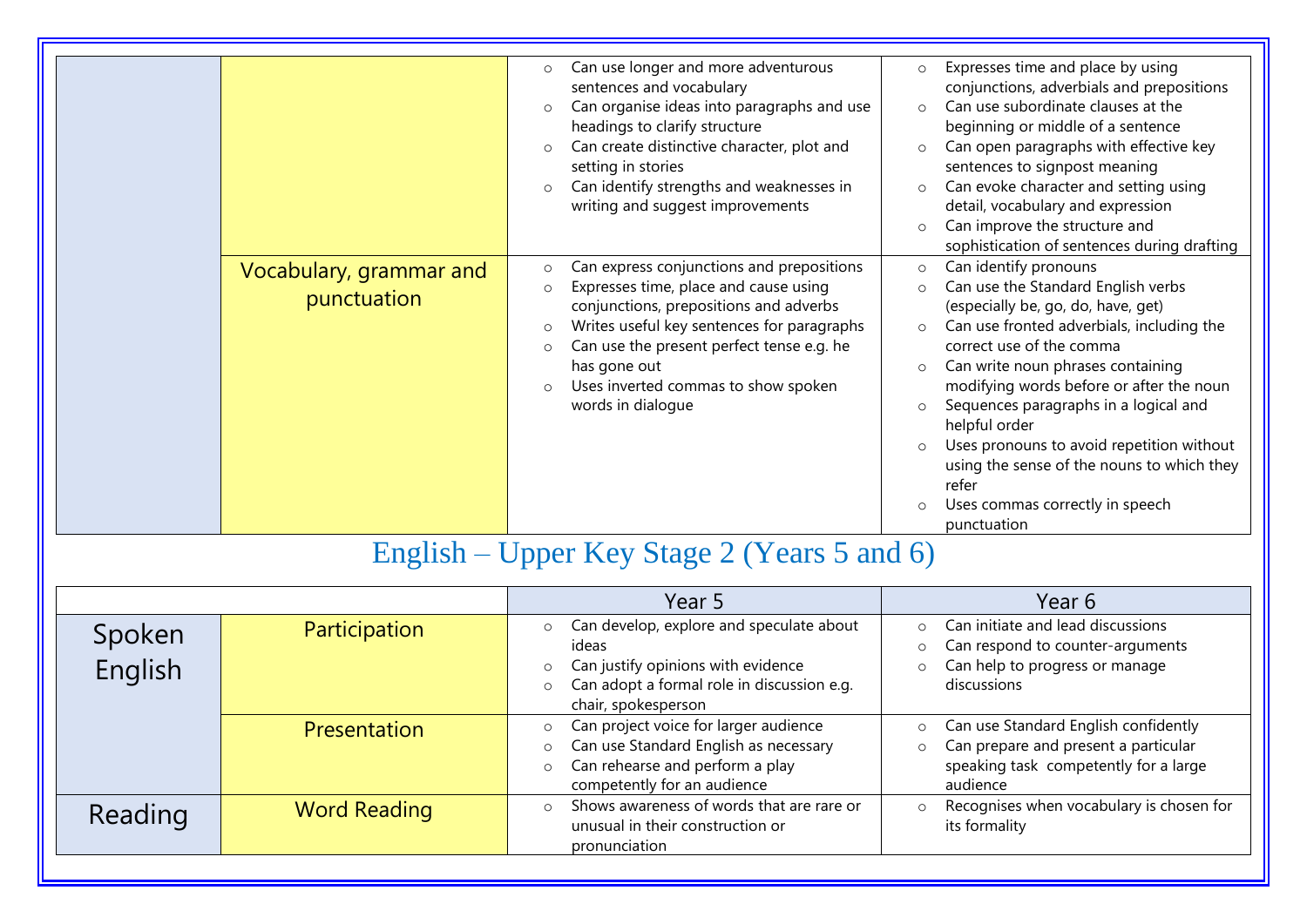|                                        | Can use longer and more adventurous<br>$\circ$<br>sentences and vocabulary<br>Can organise ideas into paragraphs and use<br>$\circ$<br>headings to clarify structure<br>Can create distinctive character, plot and<br>$\circ$<br>setting in stories<br>Can identify strengths and weaknesses in<br>writing and suggest improvements             | Expresses time and place by using<br>$\circ$<br>conjunctions, adverbials and prepositions<br>Can use subordinate clauses at the<br>$\Omega$<br>beginning or middle of a sentence<br>Can open paragraphs with effective key<br>$\circ$<br>sentences to signpost meaning<br>Can evoke character and setting using<br>$\circ$<br>detail, vocabulary and expression<br>Can improve the structure and<br>$\circ$<br>sophistication of sentences during drafting                                                                                    |
|----------------------------------------|-------------------------------------------------------------------------------------------------------------------------------------------------------------------------------------------------------------------------------------------------------------------------------------------------------------------------------------------------|-----------------------------------------------------------------------------------------------------------------------------------------------------------------------------------------------------------------------------------------------------------------------------------------------------------------------------------------------------------------------------------------------------------------------------------------------------------------------------------------------------------------------------------------------|
| Vocabulary, grammar and<br>punctuation | Can express conjunctions and prepositions<br>$\circ$<br>Expresses time, place and cause using<br>$\circ$<br>conjunctions, prepositions and adverbs<br>Writes useful key sentences for paragraphs<br>$\circ$<br>Can use the present perfect tense e.g. he<br>$\circ$<br>has gone out<br>Uses inverted commas to show spoken<br>words in dialogue | Can identify pronouns<br>$\circ$<br>Can use the Standard English verbs<br>$\circ$<br>(especially be, go, do, have, get)<br>Can use fronted adverbials, including the<br>$\circ$<br>correct use of the comma<br>Can write noun phrases containing<br>$\circ$<br>modifying words before or after the noun<br>Sequences paragraphs in a logical and<br>$\circ$<br>helpful order<br>Uses pronouns to avoid repetition without<br>$\circ$<br>using the sense of the nouns to which they<br>refer<br>Uses commas correctly in speech<br>punctuation |

### English – Upper Key Stage 2 (Years 5 and 6)

|                   |                     | Year 5                                                                                                                                                                                        | Year 6                                                                                                                                       |
|-------------------|---------------------|-----------------------------------------------------------------------------------------------------------------------------------------------------------------------------------------------|----------------------------------------------------------------------------------------------------------------------------------------------|
| Spoken<br>English | Participation       | Can develop, explore and speculate about<br>$\circ$<br>ideas<br>Can justify opinions with evidence<br>$\circ$<br>Can adopt a formal role in discussion e.g.<br>$\circ$<br>chair, spokesperson | Can initiate and lead discussions<br>$\cap$<br>Can respond to counter-arguments<br>$\circ$<br>Can help to progress or manage<br>discussions  |
|                   | <b>Presentation</b> | Can project voice for larger audience<br>$\circ$<br>Can use Standard English as necessary<br>$\circ$<br>Can rehearse and perform a play<br>$\circ$<br>competently for an audience             | Can use Standard English confidently<br>Can prepare and present a particular<br>$\circ$<br>speaking task competently for a large<br>audience |
| Reading           | <b>Word Reading</b> | Shows awareness of words that are rare or<br>$\Omega$<br>unusual in their construction or<br>pronunciation                                                                                    | Recognises when vocabulary is chosen for<br>$\circ$<br>its formality                                                                         |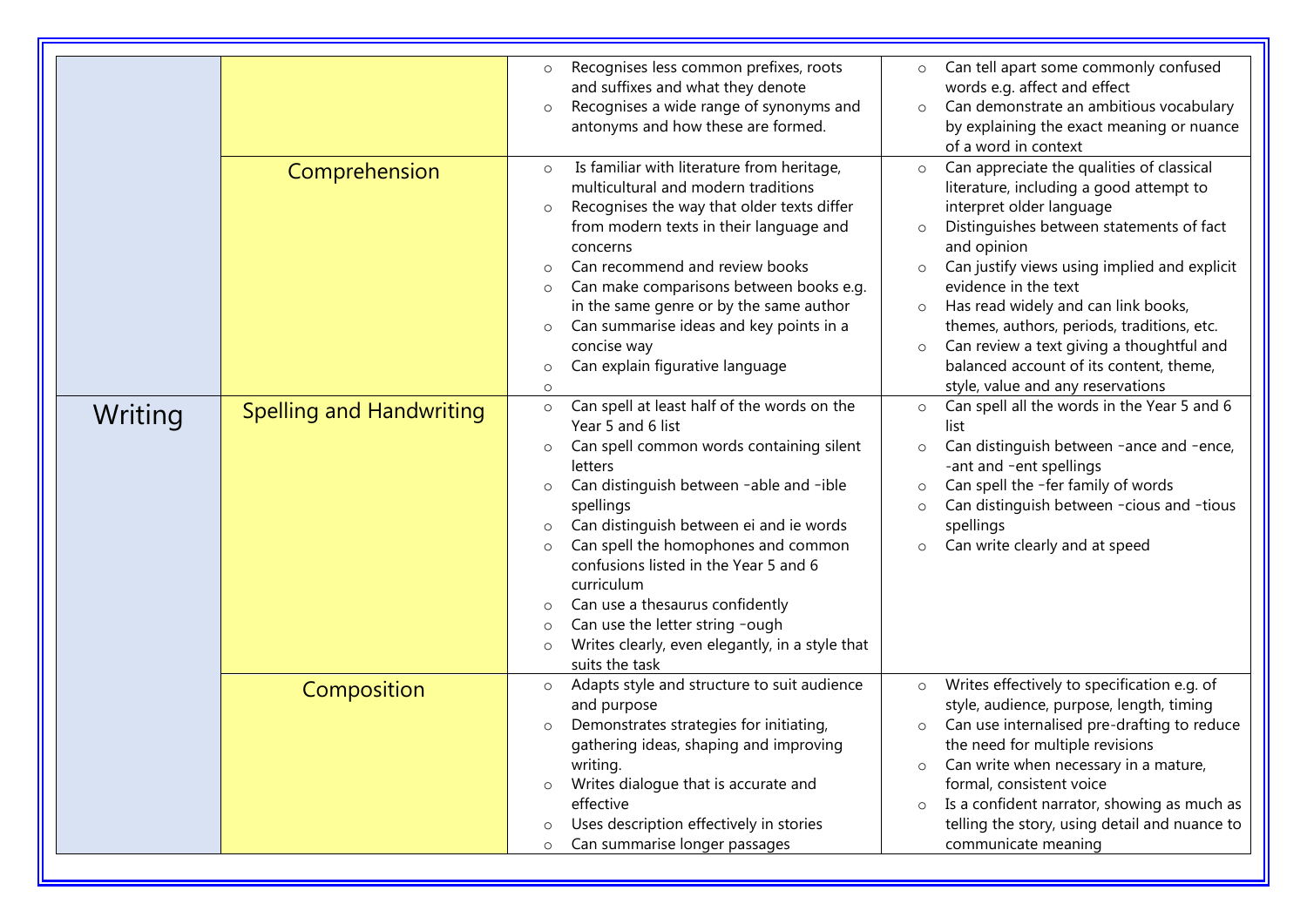|         |                                 | Recognises less common prefixes, roots<br>$\circ$<br>and suffixes and what they denote<br>Recognises a wide range of synonyms and<br>$\circ$<br>antonyms and how these are formed.<br>Is familiar with literature from heritage,<br>$\circ$                                                                                                                                                                                                                                                                                                                 | Can tell apart some commonly confused<br>$\circ$<br>words e.g. affect and effect<br>Can demonstrate an ambitious vocabulary<br>$\circ$<br>by explaining the exact meaning or nuance<br>of a word in context<br>Can appreciate the qualities of classical<br>$\circ$                                                                                                                                                                                                  |
|---------|---------------------------------|-------------------------------------------------------------------------------------------------------------------------------------------------------------------------------------------------------------------------------------------------------------------------------------------------------------------------------------------------------------------------------------------------------------------------------------------------------------------------------------------------------------------------------------------------------------|----------------------------------------------------------------------------------------------------------------------------------------------------------------------------------------------------------------------------------------------------------------------------------------------------------------------------------------------------------------------------------------------------------------------------------------------------------------------|
|         | Comprehension                   | multicultural and modern traditions<br>Recognises the way that older texts differ<br>$\circ$<br>from modern texts in their language and<br>concerns<br>Can recommend and review books<br>$\Omega$<br>Can make comparisons between books e.g.<br>$\circ$<br>in the same genre or by the same author<br>Can summarise ideas and key points in a<br>$\circ$<br>concise way<br>Can explain figurative language<br>$\circ$<br>$\circ$                                                                                                                            | literature, including a good attempt to<br>interpret older language<br>Distinguishes between statements of fact<br>$\circ$<br>and opinion<br>Can justify views using implied and explicit<br>$\circ$<br>evidence in the text<br>Has read widely and can link books,<br>$\circ$<br>themes, authors, periods, traditions, etc.<br>Can review a text giving a thoughtful and<br>$\circ$<br>balanced account of its content, theme,<br>style, value and any reservations |
| Writing | <b>Spelling and Handwriting</b> | Can spell at least half of the words on the<br>$\circ$<br>Year 5 and 6 list<br>Can spell common words containing silent<br>$\circ$<br>letters<br>Can distinguish between -able and -ible<br>$\circ$<br>spellings<br>Can distinguish between ei and ie words<br>$\circ$<br>Can spell the homophones and common<br>$\circ$<br>confusions listed in the Year 5 and 6<br>curriculum<br>Can use a thesaurus confidently<br>$\circ$<br>Can use the letter string -ough<br>$\circ$<br>Writes clearly, even elegantly, in a style that<br>$\circ$<br>suits the task | Can spell all the words in the Year 5 and 6<br>$\circ$<br>list<br>Can distinguish between -ance and -ence,<br>$\circ$<br>-ant and -ent spellings<br>Can spell the -fer family of words<br>$\circ$<br>Can distinguish between -cious and -tious<br>$\circ$<br>spellings<br>Can write clearly and at speed<br>$\circ$                                                                                                                                                  |
|         | Composition                     | Adapts style and structure to suit audience<br>$\circ$<br>and purpose<br>Demonstrates strategies for initiating,<br>$\circ$<br>gathering ideas, shaping and improving<br>writing.<br>Writes dialogue that is accurate and<br>$\circ$<br>effective<br>Uses description effectively in stories<br>$\circ$<br>Can summarise longer passages<br>$\circ$                                                                                                                                                                                                         | Writes effectively to specification e.g. of<br>$\circ$<br>style, audience, purpose, length, timing<br>Can use internalised pre-drafting to reduce<br>$\circ$<br>the need for multiple revisions<br>Can write when necessary in a mature,<br>$\circ$<br>formal, consistent voice<br>Is a confident narrator, showing as much as<br>$\circ$<br>telling the story, using detail and nuance to<br>communicate meaning                                                    |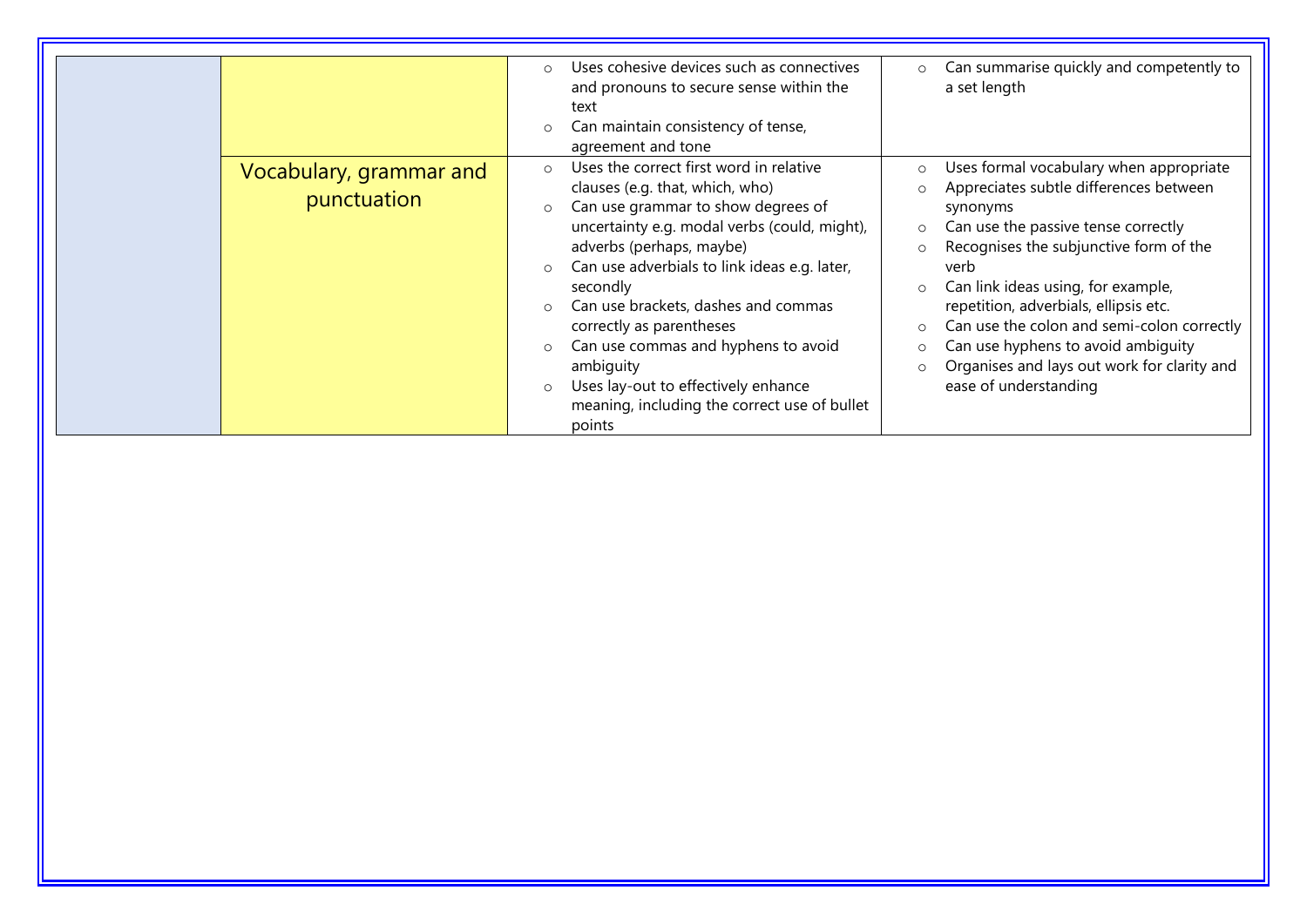|                                        | Uses cohesive devices such as connectives<br>$\circ$<br>and pronouns to secure sense within the<br>text<br>Can maintain consistency of tense,<br>agreement and tone                                                                                                                                                                                                                                                                                                                                     | Can summarise quickly and competently to<br>$\circ$<br>a set length                                                                                                                                                                                                                                                                                                                                                                          |
|----------------------------------------|---------------------------------------------------------------------------------------------------------------------------------------------------------------------------------------------------------------------------------------------------------------------------------------------------------------------------------------------------------------------------------------------------------------------------------------------------------------------------------------------------------|----------------------------------------------------------------------------------------------------------------------------------------------------------------------------------------------------------------------------------------------------------------------------------------------------------------------------------------------------------------------------------------------------------------------------------------------|
| Vocabulary, grammar and<br>punctuation | Uses the correct first word in relative<br>$\Omega$<br>clauses (e.g. that, which, who)<br>Can use grammar to show degrees of<br>uncertainty e.g. modal verbs (could, might),<br>adverbs (perhaps, maybe)<br>Can use adverbials to link ideas e.g. later,<br>secondly<br>Can use brackets, dashes and commas<br>correctly as parentheses<br>Can use commas and hyphens to avoid<br>ambiguity<br>Uses lay-out to effectively enhance<br>$\circ$<br>meaning, including the correct use of bullet<br>points | Uses formal vocabulary when appropriate<br>Appreciates subtle differences between<br>synonyms<br>Can use the passive tense correctly<br>$\circ$<br>Recognises the subjunctive form of the<br>verb<br>Can link ideas using, for example,<br>repetition, adverbials, ellipsis etc.<br>Can use the colon and semi-colon correctly<br>Can use hyphens to avoid ambiguity<br>Organises and lays out work for clarity and<br>ease of understanding |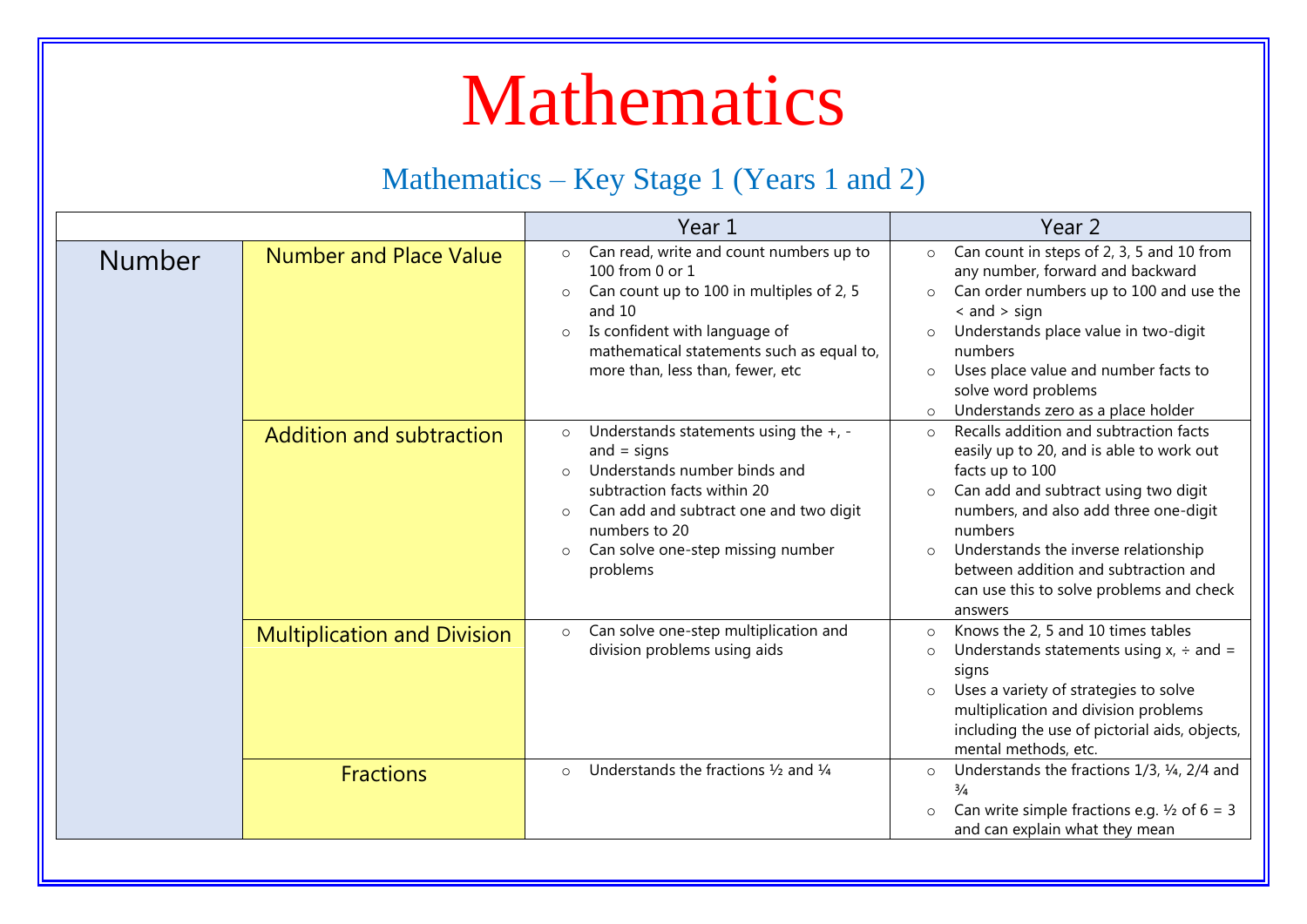### Mathematics

#### Mathematics – Key Stage 1 (Years 1 and 2)

|               |                                    | Year 1                                                                                                                                                                                                                                                                            | Year 2                                                                                                                                                                                                                                                                                                                                                                     |
|---------------|------------------------------------|-----------------------------------------------------------------------------------------------------------------------------------------------------------------------------------------------------------------------------------------------------------------------------------|----------------------------------------------------------------------------------------------------------------------------------------------------------------------------------------------------------------------------------------------------------------------------------------------------------------------------------------------------------------------------|
| <b>Number</b> | <b>Number and Place Value</b>      | Can read, write and count numbers up to<br>$\circ$<br>100 from 0 or 1<br>Can count up to 100 in multiples of 2, 5<br>$\circ$<br>and 10<br>Is confident with language of<br>$\circ$<br>mathematical statements such as equal to,<br>more than, less than, fewer, etc               | Can count in steps of 2, 3, 5 and 10 from<br>$\circ$<br>any number, forward and backward<br>Can order numbers up to 100 and use the<br>$\circ$<br>$\leq$ and $>$ sign<br>Understands place value in two-digit<br>$\circ$<br>numbers<br>Uses place value and number facts to<br>$\circ$<br>solve word problems<br>Understands zero as a place holder<br>$\circ$             |
|               | <b>Addition and subtraction</b>    | Understands statements using the $+$ , -<br>$\circ$<br>and $=$ signs<br>Understands number binds and<br>$\Omega$<br>subtraction facts within 20<br>Can add and subtract one and two digit<br>$\circ$<br>numbers to 20<br>Can solve one-step missing number<br>$\circ$<br>problems | Recalls addition and subtraction facts<br>$\Omega$<br>easily up to 20, and is able to work out<br>facts up to 100<br>Can add and subtract using two digit<br>$\circ$<br>numbers, and also add three one-digit<br>numbers<br>Understands the inverse relationship<br>$\circ$<br>between addition and subtraction and<br>can use this to solve problems and check<br>answers |
|               | <b>Multiplication and Division</b> | Can solve one-step multiplication and<br>$\circ$<br>division problems using aids                                                                                                                                                                                                  | Knows the 2, 5 and 10 times tables<br>$\circ$<br>Understands statements using $x_i \div$ and =<br>$\circ$<br>signs<br>Uses a variety of strategies to solve<br>$\circ$<br>multiplication and division problems<br>including the use of pictorial aids, objects,<br>mental methods, etc.                                                                                    |
|               | <b>Fractions</b>                   | Understands the fractions $\frac{1}{2}$ and $\frac{1}{4}$<br>$\circ$                                                                                                                                                                                                              | Understands the fractions 1/3, 1/4, 2/4 and<br>$\circ$<br>$\frac{3}{4}$<br>Can write simple fractions e.g. $\frac{1}{2}$ of 6 = 3<br>$\circ$<br>and can explain what they mean                                                                                                                                                                                             |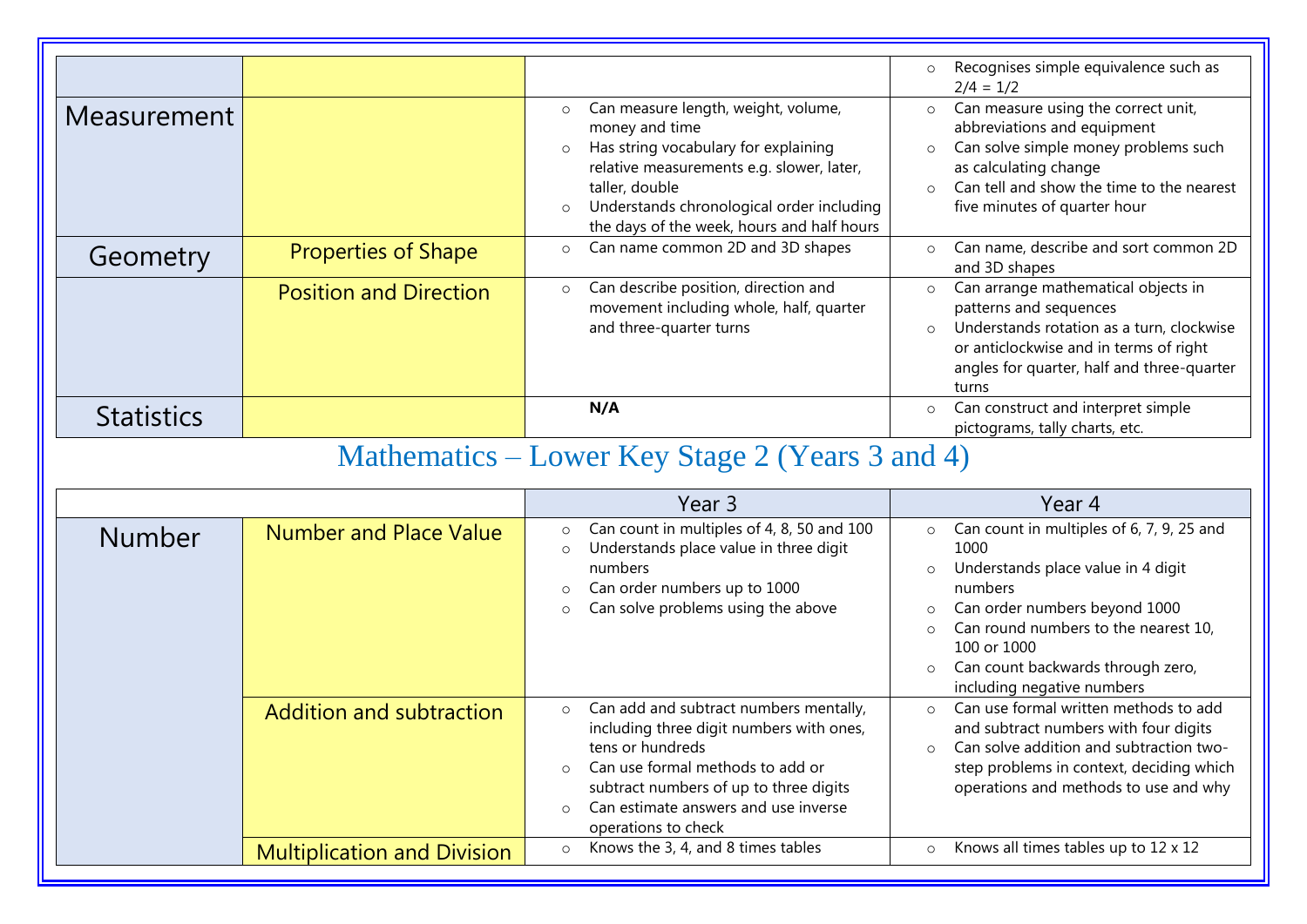|                                                 |                               |                                                                                                                                                                                                                                                                                          | Recognises simple equivalence such as<br>$\circ$<br>$2/4 = 1/2$                                                                                                                                                                                    |
|-------------------------------------------------|-------------------------------|------------------------------------------------------------------------------------------------------------------------------------------------------------------------------------------------------------------------------------------------------------------------------------------|----------------------------------------------------------------------------------------------------------------------------------------------------------------------------------------------------------------------------------------------------|
| <b>Measurement</b>                              |                               | Can measure length, weight, volume,<br>$\circ$<br>money and time<br>Has string vocabulary for explaining<br>$\circ$<br>relative measurements e.g. slower, later,<br>taller, double<br>Understands chronological order including<br>$\circ$<br>the days of the week, hours and half hours | Can measure using the correct unit,<br>$\circ$<br>abbreviations and equipment<br>Can solve simple money problems such<br>$\circ$<br>as calculating change<br>Can tell and show the time to the nearest<br>$\Omega$<br>five minutes of quarter hour |
| Geometry                                        | <b>Properties of Shape</b>    | Can name common 2D and 3D shapes<br>$\circ$                                                                                                                                                                                                                                              | Can name, describe and sort common 2D<br>$\circ$<br>and 3D shapes                                                                                                                                                                                  |
|                                                 | <b>Position and Direction</b> | Can describe position, direction and<br>$\circ$<br>movement including whole, half, quarter<br>and three-quarter turns                                                                                                                                                                    | Can arrange mathematical objects in<br>$\circ$<br>patterns and sequences<br>Understands rotation as a turn, clockwise<br>$\circ$<br>or anticlockwise and in terms of right<br>angles for quarter, half and three-quarter<br>turns                  |
| <b>Statistics</b>                               |                               | N/A                                                                                                                                                                                                                                                                                      | Can construct and interpret simple<br>$\circ$<br>pictograms, tally charts, etc.                                                                                                                                                                    |
| Mathematics – Lower Key Stage 2 (Years 3 and 4) |                               |                                                                                                                                                                                                                                                                                          |                                                                                                                                                                                                                                                    |
|                                                 |                               | Year <sub>3</sub>                                                                                                                                                                                                                                                                        | Year 4                                                                                                                                                                                                                                             |
| <b>Number</b>                                   | <b>Number and Place Value</b> | Can count in multiples of 4, 8, 50 and 100<br>$\circ$<br>Understands place value in three digit<br>$\circ$<br>numbers<br>Can order numbers up to 1000<br>$\circ$<br>Can solve problems using the above<br>$\circ$                                                                        | Can count in multiples of 6, 7, 9, 25 and<br>$\circ$<br>1000<br>Understands place value in 4 digit<br>$\circ$<br>numbers<br>Can order numbers beyond 1000<br>Can round numbers to the nearest 10                                                   |

|                                    | Can solve problems using the above<br>$\circ$                                                                                                                                                                                                                                        | Can order numbers beyond 1000<br>$\circ$<br>Can round numbers to the nearest 10,<br>$\circ$<br>100 or 1000<br>Can count backwards through zero,<br>$\circ$<br>including negative numbers                                                 |
|------------------------------------|--------------------------------------------------------------------------------------------------------------------------------------------------------------------------------------------------------------------------------------------------------------------------------------|------------------------------------------------------------------------------------------------------------------------------------------------------------------------------------------------------------------------------------------|
| Addition and subtraction           | Can add and subtract numbers mentally,<br>$\circ$<br>including three digit numbers with ones,<br>tens or hundreds<br>Can use formal methods to add or<br>$\circ$<br>subtract numbers of up to three digits<br>Can estimate answers and use inverse<br>$\circ$<br>operations to check | Can use formal written methods to add<br>$\bigcirc$<br>and subtract numbers with four digits<br>Can solve addition and subtraction two-<br>$\Omega$<br>step problems in context, deciding which<br>operations and methods to use and why |
| <b>Multiplication and Division</b> | Knows the 3, 4, and 8 times tables<br>$\circ$                                                                                                                                                                                                                                        | Knows all times tables up to 12 x 12                                                                                                                                                                                                     |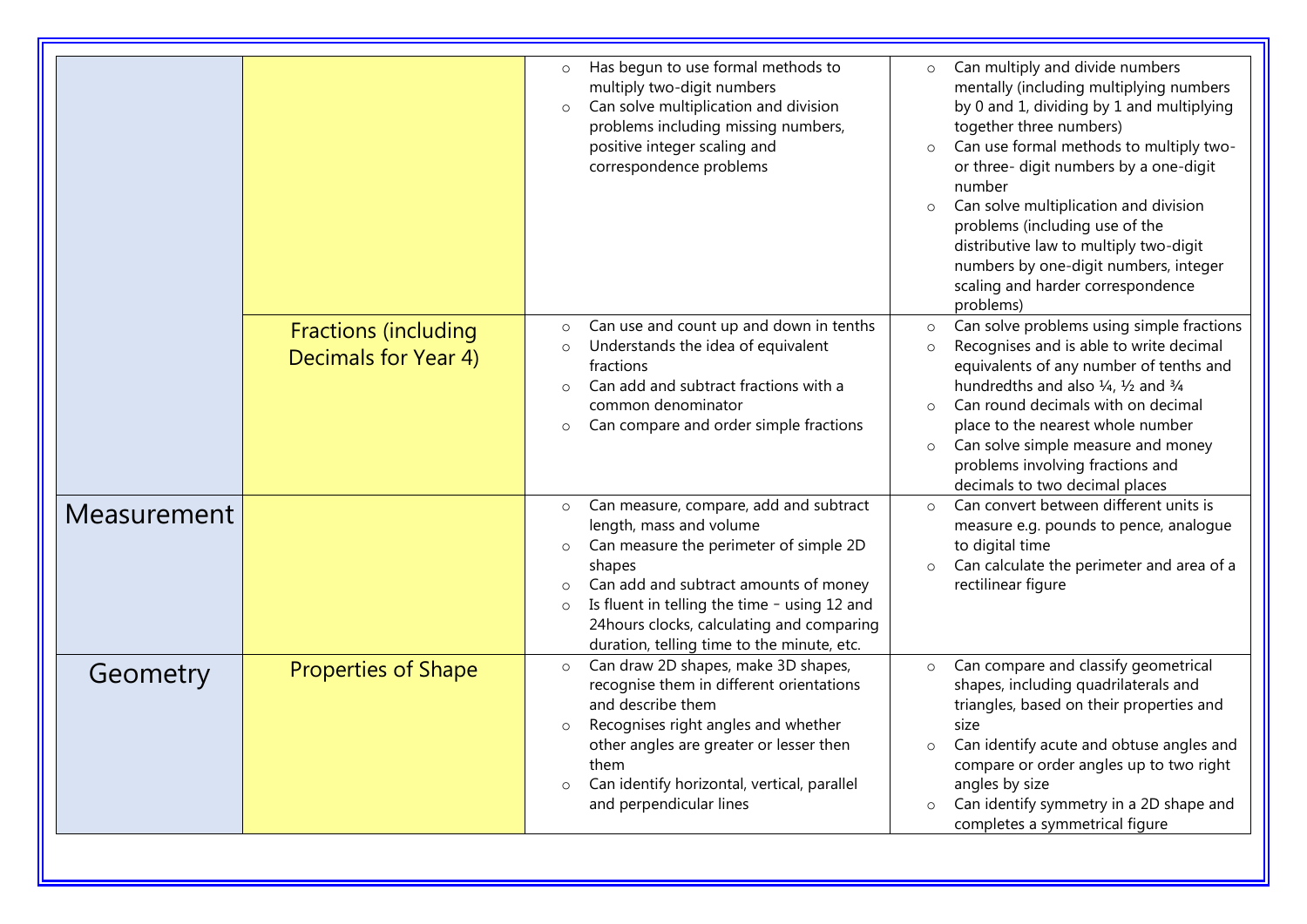|             |                                                     | Has begun to use formal methods to<br>$\circ$<br>multiply two-digit numbers<br>Can solve multiplication and division<br>$\circ$<br>problems including missing numbers,<br>positive integer scaling and<br>correspondence problems                                                                                                           | Can multiply and divide numbers<br>$\circ$<br>mentally (including multiplying numbers<br>by 0 and 1, dividing by 1 and multiplying<br>together three numbers)<br>Can use formal methods to multiply two-<br>$\circ$<br>or three- digit numbers by a one-digit<br>number<br>Can solve multiplication and division<br>$\circ$<br>problems (including use of the<br>distributive law to multiply two-digit<br>numbers by one-digit numbers, integer<br>scaling and harder correspondence<br>problems) |
|-------------|-----------------------------------------------------|---------------------------------------------------------------------------------------------------------------------------------------------------------------------------------------------------------------------------------------------------------------------------------------------------------------------------------------------|----------------------------------------------------------------------------------------------------------------------------------------------------------------------------------------------------------------------------------------------------------------------------------------------------------------------------------------------------------------------------------------------------------------------------------------------------------------------------------------------------|
|             | <b>Fractions (including</b><br>Decimals for Year 4) | Can use and count up and down in tenths<br>$\circ$<br>Understands the idea of equivalent<br>$\circ$<br>fractions<br>Can add and subtract fractions with a<br>$\circ$<br>common denominator<br>Can compare and order simple fractions<br>$\circ$                                                                                             | Can solve problems using simple fractions<br>$\circ$<br>Recognises and is able to write decimal<br>$\circ$<br>equivalents of any number of tenths and<br>hundredths and also $\frac{1}{4}$ , $\frac{1}{2}$ and $\frac{3}{4}$<br>Can round decimals with on decimal<br>$\circ$<br>place to the nearest whole number<br>Can solve simple measure and money<br>$\circ$<br>problems involving fractions and<br>decimals to two decimal places                                                          |
| Measurement |                                                     | Can measure, compare, add and subtract<br>$\circ$<br>length, mass and volume<br>Can measure the perimeter of simple 2D<br>shapes<br>Can add and subtract amounts of money<br>$\circ$<br>Is fluent in telling the time - using 12 and<br>$\circ$<br>24 hours clocks, calculating and comparing<br>duration, telling time to the minute, etc. | Can convert between different units is<br>$\circ$<br>measure e.g. pounds to pence, analogue<br>to digital time<br>Can calculate the perimeter and area of a<br>$\circ$<br>rectilinear figure                                                                                                                                                                                                                                                                                                       |
| Geometry    | <b>Properties of Shape</b>                          | Can draw 2D shapes, make 3D shapes,<br>$\circ$<br>recognise them in different orientations<br>and describe them<br>Recognises right angles and whether<br>$\circ$<br>other angles are greater or lesser then<br>them<br>Can identify horizontal, vertical, parallel<br>$\circ$<br>and perpendicular lines                                   | Can compare and classify geometrical<br>$\circ$<br>shapes, including quadrilaterals and<br>triangles, based on their properties and<br>size<br>Can identify acute and obtuse angles and<br>$\Omega$<br>compare or order angles up to two right<br>angles by size<br>Can identify symmetry in a 2D shape and<br>$\circ$<br>completes a symmetrical figure                                                                                                                                           |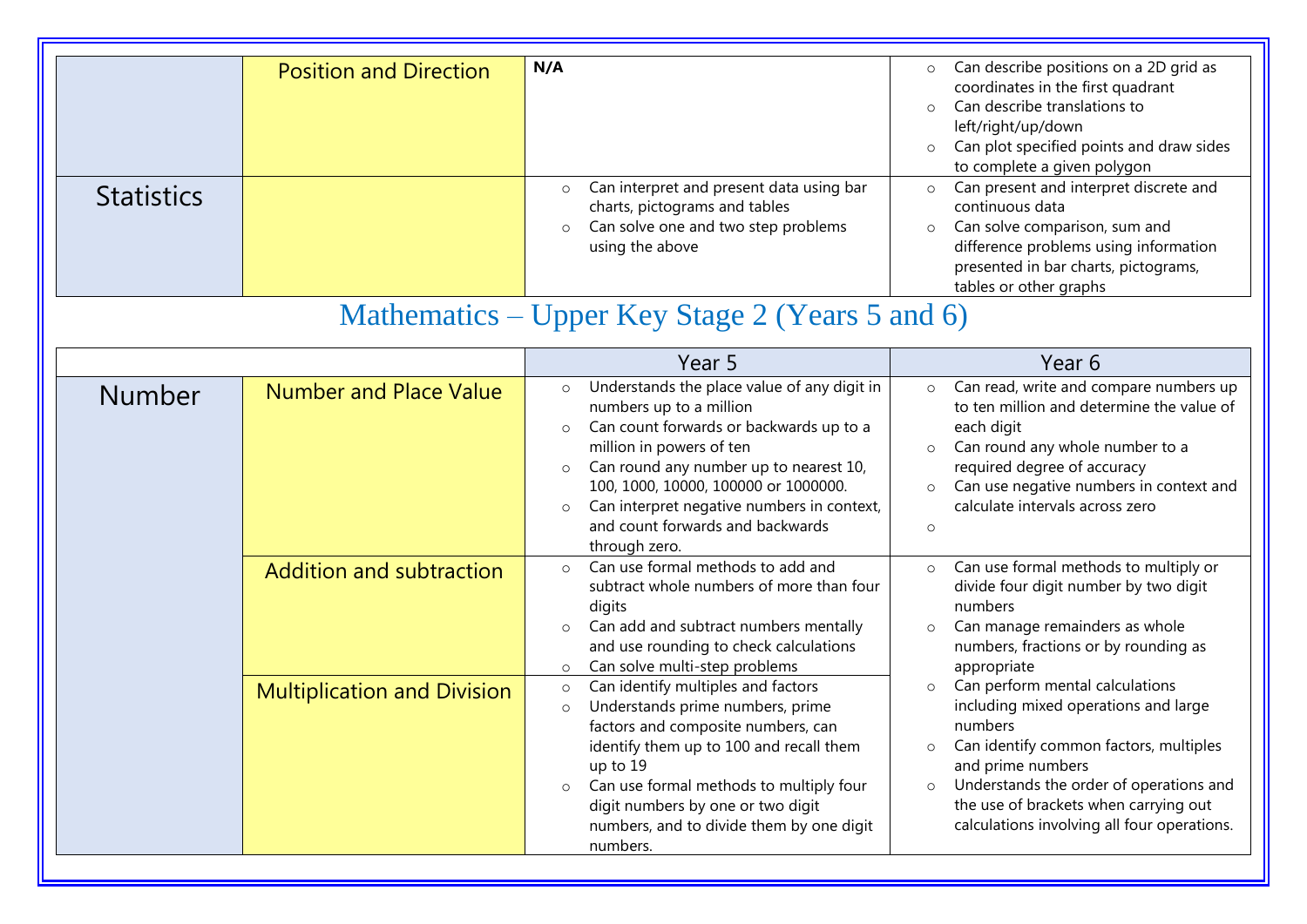| <b>Statistics</b> | <b>Position and Direction</b>      | N/A<br>Can interpret and present data using bar<br>$\circ$<br>charts, pictograms and tables<br>Can solve one and two step problems<br>$\circ$<br>using the above<br>Mathematics – Upper Key Stage 2 (Years 5 and 6)                                                                                                                                                            | Can describe positions on a 2D grid as<br>$\circ$<br>coordinates in the first quadrant<br>Can describe translations to<br>$\circ$<br>left/right/up/down<br>Can plot specified points and draw sides<br>$\circ$<br>to complete a given polygon<br>Can present and interpret discrete and<br>$\circ$<br>continuous data<br>Can solve comparison, sum and<br>$\circ$<br>difference problems using information<br>presented in bar charts, pictograms,<br>tables or other graphs |
|-------------------|------------------------------------|--------------------------------------------------------------------------------------------------------------------------------------------------------------------------------------------------------------------------------------------------------------------------------------------------------------------------------------------------------------------------------|------------------------------------------------------------------------------------------------------------------------------------------------------------------------------------------------------------------------------------------------------------------------------------------------------------------------------------------------------------------------------------------------------------------------------------------------------------------------------|
|                   |                                    | Year 5                                                                                                                                                                                                                                                                                                                                                                         | Year 6                                                                                                                                                                                                                                                                                                                                                                                                                                                                       |
| <b>Number</b>     | <b>Number and Place Value</b>      | Understands the place value of any digit in<br>$\circ$<br>numbers up to a million<br>Can count forwards or backwards up to a<br>$\circ$<br>million in powers of ten<br>Can round any number up to nearest 10,<br>$\circ$<br>100, 1000, 10000, 100000 or 1000000.<br>Can interpret negative numbers in context,<br>$\circ$<br>and count forwards and backwards<br>through zero. | Can read, write and compare numbers up<br>$\circ$<br>to ten million and determine the value of<br>each digit<br>Can round any whole number to a<br>$\circ$<br>required degree of accuracy<br>Can use negative numbers in context and<br>$\circ$<br>calculate intervals across zero<br>$\circ$                                                                                                                                                                                |
|                   | Addition and subtraction           | Can use formal methods to add and<br>$\circ$<br>subtract whole numbers of more than four<br>digits<br>Can add and subtract numbers mentally<br>$\circ$<br>and use rounding to check calculations<br>Can solve multi-step problems<br>$\circ$                                                                                                                                   | Can use formal methods to multiply or<br>$\circ$<br>divide four digit number by two digit<br>numbers<br>Can manage remainders as whole<br>$\circ$<br>numbers, fractions or by rounding as<br>appropriate                                                                                                                                                                                                                                                                     |
|                   | <b>Multiplication and Division</b> | Can identify multiples and factors<br>$\circ$<br>Understands prime numbers, prime<br>$\circ$<br>factors and composite numbers, can<br>identify them up to 100 and recall them<br>up to 19<br>Can use formal methods to multiply four<br>$\circ$<br>digit numbers by one or two digit<br>numbers, and to divide them by one digit<br>numbers.                                   | Can perform mental calculations<br>$\circ$<br>including mixed operations and large<br>numbers<br>Can identify common factors, multiples<br>$\circ$<br>and prime numbers<br>Understands the order of operations and<br>$\circ$<br>the use of brackets when carrying out<br>calculations involving all four operations.                                                                                                                                                        |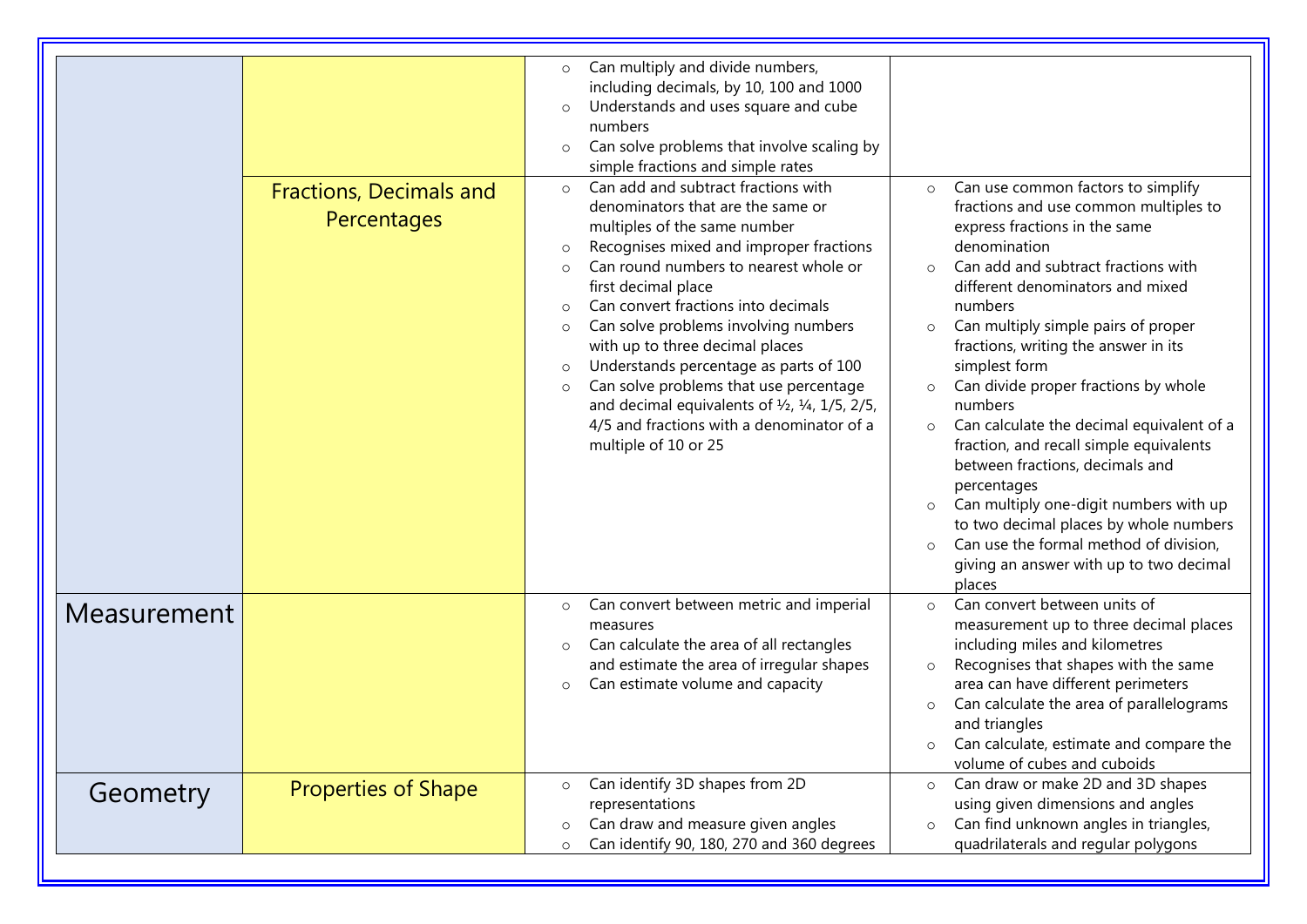|             | <b>Fractions, Decimals and</b><br>Percentages | Can multiply and divide numbers,<br>$\circ$<br>including decimals, by 10, 100 and 1000<br>Understands and uses square and cube<br>$\circ$<br>numbers<br>Can solve problems that involve scaling by<br>$\circ$<br>simple fractions and simple rates<br>Can add and subtract fractions with<br>$\circ$<br>denominators that are the same or<br>multiples of the same number<br>Recognises mixed and improper fractions<br>$\circ$<br>Can round numbers to nearest whole or<br>$\circ$<br>first decimal place<br>Can convert fractions into decimals<br>$\Omega$<br>Can solve problems involving numbers<br>$\circ$<br>with up to three decimal places<br>Understands percentage as parts of 100<br>$\circ$<br>Can solve problems that use percentage<br>$\circ$<br>and decimal equivalents of $\frac{1}{2}$ , $\frac{1}{4}$ , $\frac{1}{5}$ , $\frac{2}{5}$ ,<br>4/5 and fractions with a denominator of a<br>multiple of 10 or 25 | Can use common factors to simplify<br>$\circ$<br>fractions and use common multiples to<br>express fractions in the same<br>denomination<br>Can add and subtract fractions with<br>$\circ$<br>different denominators and mixed<br>numbers<br>Can multiply simple pairs of proper<br>$\circ$<br>fractions, writing the answer in its<br>simplest form<br>Can divide proper fractions by whole<br>$\circ$<br>numbers<br>Can calculate the decimal equivalent of a<br>$\circ$<br>fraction, and recall simple equivalents<br>between fractions, decimals and<br>percentages<br>Can multiply one-digit numbers with up<br>$\circ$<br>to two decimal places by whole numbers<br>Can use the formal method of division,<br>$\circ$<br>giving an answer with up to two decimal<br>places |
|-------------|-----------------------------------------------|----------------------------------------------------------------------------------------------------------------------------------------------------------------------------------------------------------------------------------------------------------------------------------------------------------------------------------------------------------------------------------------------------------------------------------------------------------------------------------------------------------------------------------------------------------------------------------------------------------------------------------------------------------------------------------------------------------------------------------------------------------------------------------------------------------------------------------------------------------------------------------------------------------------------------------|---------------------------------------------------------------------------------------------------------------------------------------------------------------------------------------------------------------------------------------------------------------------------------------------------------------------------------------------------------------------------------------------------------------------------------------------------------------------------------------------------------------------------------------------------------------------------------------------------------------------------------------------------------------------------------------------------------------------------------------------------------------------------------|
| Measurement |                                               | Can convert between metric and imperial<br>$\circ$<br>measures<br>Can calculate the area of all rectangles<br>$\circ$<br>and estimate the area of irregular shapes<br>Can estimate volume and capacity<br>$\circ$                                                                                                                                                                                                                                                                                                                                                                                                                                                                                                                                                                                                                                                                                                                | Can convert between units of<br>$\circ$<br>measurement up to three decimal places<br>including miles and kilometres<br>Recognises that shapes with the same<br>$\circ$<br>area can have different perimeters<br>Can calculate the area of parallelograms<br>$\circ$<br>and triangles<br>Can calculate, estimate and compare the<br>$\circ$<br>volume of cubes and cuboids                                                                                                                                                                                                                                                                                                                                                                                                       |
| Geometry    | <b>Properties of Shape</b>                    | Can identify 3D shapes from 2D<br>$\circ$<br>representations<br>Can draw and measure given angles<br>$\circ$<br>Can identify 90, 180, 270 and 360 degrees<br>$\circ$                                                                                                                                                                                                                                                                                                                                                                                                                                                                                                                                                                                                                                                                                                                                                             | Can draw or make 2D and 3D shapes<br>$\circ$<br>using given dimensions and angles<br>Can find unknown angles in triangles,<br>$\circ$<br>quadrilaterals and regular polygons                                                                                                                                                                                                                                                                                                                                                                                                                                                                                                                                                                                                    |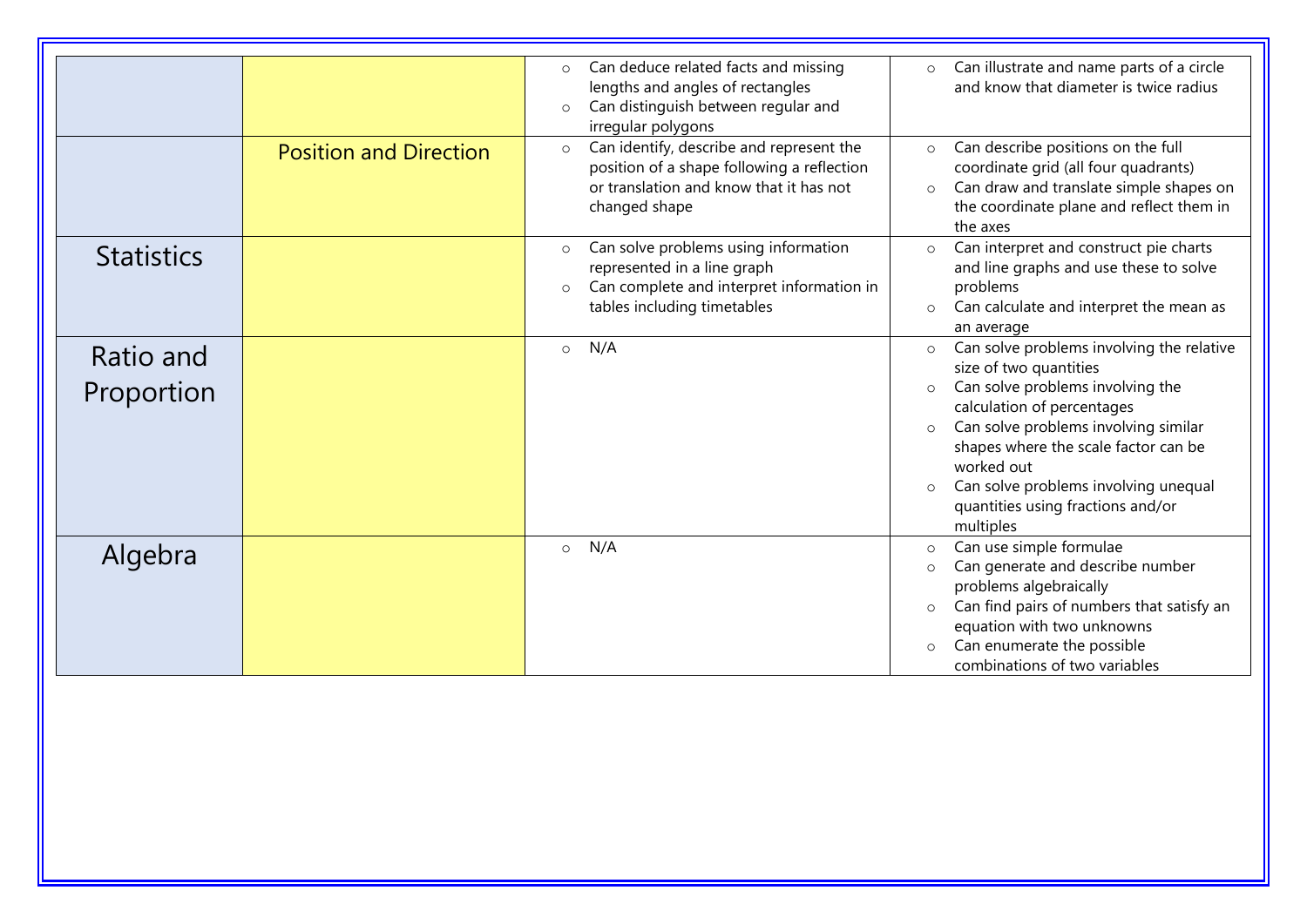|                   |                               | Can deduce related facts and missing<br>$\circ$      | Can illustrate and name parts of a circle<br>$\circ$ |
|-------------------|-------------------------------|------------------------------------------------------|------------------------------------------------------|
|                   |                               | lengths and angles of rectangles                     | and know that diameter is twice radius               |
|                   |                               | Can distinguish between regular and<br>$\circ$       |                                                      |
|                   |                               | irregular polygons                                   |                                                      |
|                   | <b>Position and Direction</b> | Can identify, describe and represent the<br>$\circ$  | Can describe positions on the full<br>$\circ$        |
|                   |                               | position of a shape following a reflection           | coordinate grid (all four quadrants)                 |
|                   |                               | or translation and know that it has not              | Can draw and translate simple shapes on<br>$\circ$   |
|                   |                               | changed shape                                        | the coordinate plane and reflect them in             |
|                   |                               |                                                      | the axes                                             |
| <b>Statistics</b> |                               | Can solve problems using information<br>$\circ$      | Can interpret and construct pie charts<br>$\circ$    |
|                   |                               | represented in a line graph                          | and line graphs and use these to solve               |
|                   |                               | Can complete and interpret information in<br>$\circ$ | problems                                             |
|                   |                               | tables including timetables                          | Can calculate and interpret the mean as<br>$\circ$   |
|                   |                               |                                                      | an average                                           |
| Ratio and         |                               | N/A<br>$\circ$                                       | Can solve problems involving the relative<br>$\circ$ |
|                   |                               |                                                      | size of two quantities                               |
| Proportion        |                               |                                                      | Can solve problems involving the<br>$\circ$          |
|                   |                               |                                                      | calculation of percentages                           |
|                   |                               |                                                      | Can solve problems involving similar<br>$\circ$      |
|                   |                               |                                                      | shapes where the scale factor can be                 |
|                   |                               |                                                      | worked out                                           |
|                   |                               |                                                      | Can solve problems involving unequal<br>$\circ$      |
|                   |                               |                                                      | quantities using fractions and/or                    |
|                   |                               |                                                      | multiples                                            |
| Algebra           |                               | N/A<br>$\circ$                                       | Can use simple formulae<br>$\circ$                   |
|                   |                               |                                                      | Can generate and describe number<br>$\circ$          |
|                   |                               |                                                      | problems algebraically                               |
|                   |                               |                                                      | Can find pairs of numbers that satisfy an<br>$\circ$ |
|                   |                               |                                                      | equation with two unknowns                           |
|                   |                               |                                                      | Can enumerate the possible<br>$\circ$                |
|                   |                               |                                                      | combinations of two variables                        |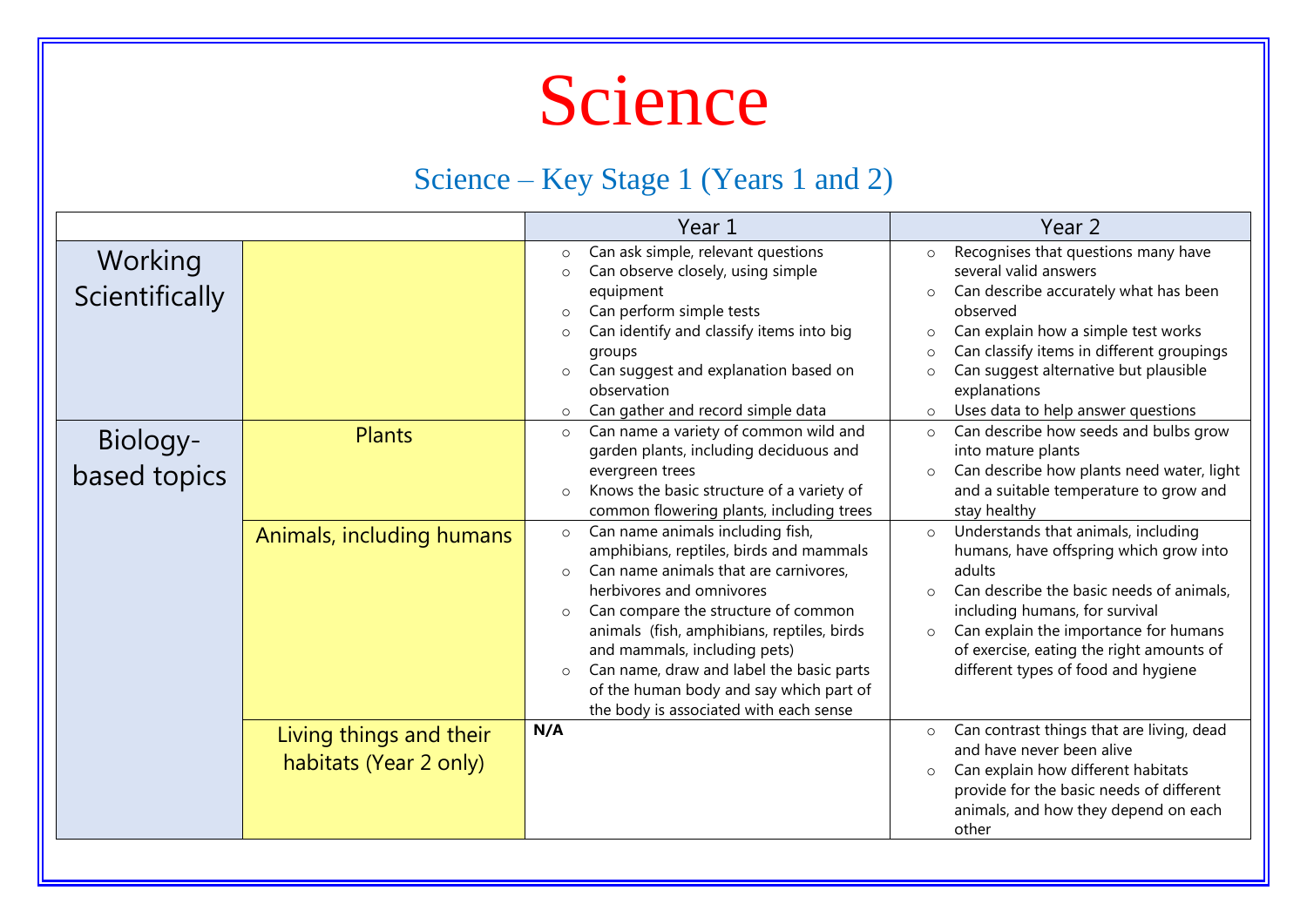

#### Science – Key Stage 1 (Years 1 and 2)

|                           |                                                   | Year 1                                                                                                                                                                                                                                                                                                                                                                                                                                                                                                                                                                                                                                                                                                                  | Year 2                                                                                                                                                                                                                                                                                                                                                                                                                                                                                                                                                                           |
|---------------------------|---------------------------------------------------|-------------------------------------------------------------------------------------------------------------------------------------------------------------------------------------------------------------------------------------------------------------------------------------------------------------------------------------------------------------------------------------------------------------------------------------------------------------------------------------------------------------------------------------------------------------------------------------------------------------------------------------------------------------------------------------------------------------------------|----------------------------------------------------------------------------------------------------------------------------------------------------------------------------------------------------------------------------------------------------------------------------------------------------------------------------------------------------------------------------------------------------------------------------------------------------------------------------------------------------------------------------------------------------------------------------------|
| Working<br>Scientifically |                                                   | Can ask simple, relevant questions<br>$\circ$<br>Can observe closely, using simple<br>$\circ$<br>equipment<br>Can perform simple tests<br>$\circ$<br>Can identify and classify items into big<br>$\circ$<br>groups<br>Can suggest and explanation based on<br>$\circ$<br>observation                                                                                                                                                                                                                                                                                                                                                                                                                                    | Recognises that questions many have<br>$\circ$<br>several valid answers<br>Can describe accurately what has been<br>$\circ$<br>observed<br>Can explain how a simple test works<br>$\circ$<br>Can classify items in different groupings<br>$\circ$<br>Can suggest alternative but plausible<br>$\circ$<br>explanations                                                                                                                                                                                                                                                            |
| Biology-<br>based topics  | <b>Plants</b><br>Animals, including humans        | Can gather and record simple data<br>$\circ$<br>Can name a variety of common wild and<br>$\circ$<br>garden plants, including deciduous and<br>evergreen trees<br>Knows the basic structure of a variety of<br>$\circ$<br>common flowering plants, including trees<br>Can name animals including fish,<br>$\circ$<br>amphibians, reptiles, birds and mammals<br>Can name animals that are carnivores,<br>$\circ$<br>herbivores and omnivores<br>Can compare the structure of common<br>$\circ$<br>animals (fish, amphibians, reptiles, birds<br>and mammals, including pets)<br>Can name, draw and label the basic parts<br>$\circ$<br>of the human body and say which part of<br>the body is associated with each sense | Uses data to help answer questions<br>$\circ$<br>Can describe how seeds and bulbs grow<br>$\circ$<br>into mature plants<br>Can describe how plants need water, light<br>$\circ$<br>and a suitable temperature to grow and<br>stay healthy<br>Understands that animals, including<br>$\circ$<br>humans, have offspring which grow into<br>adults<br>Can describe the basic needs of animals,<br>$\Omega$<br>including humans, for survival<br>Can explain the importance for humans<br>$\circ$<br>of exercise, eating the right amounts of<br>different types of food and hygiene |
|                           | Living things and their<br>habitats (Year 2 only) | N/A                                                                                                                                                                                                                                                                                                                                                                                                                                                                                                                                                                                                                                                                                                                     | Can contrast things that are living, dead<br>$\circ$<br>and have never been alive<br>Can explain how different habitats<br>$\circ$<br>provide for the basic needs of different<br>animals, and how they depend on each<br>other                                                                                                                                                                                                                                                                                                                                                  |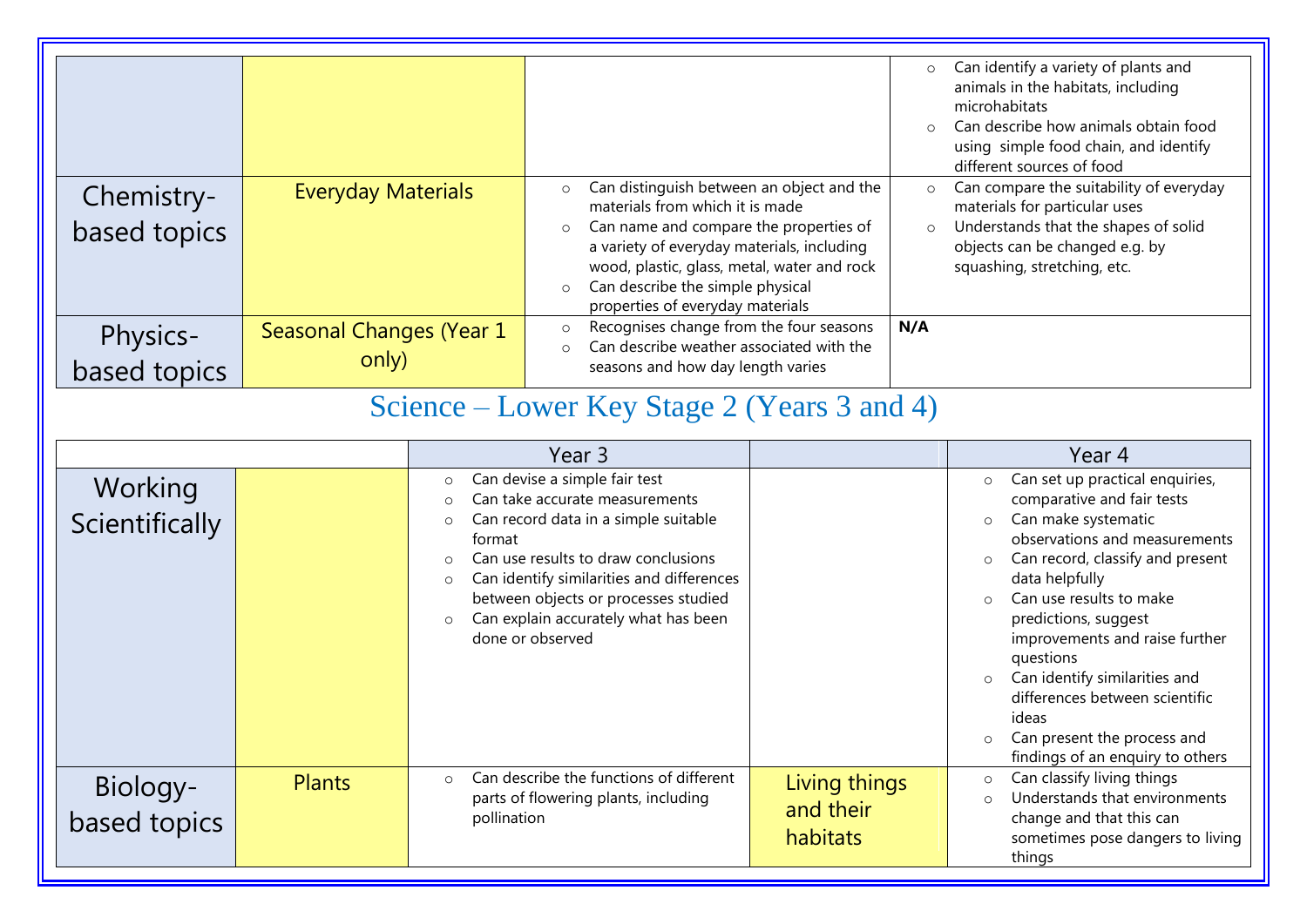| Chemistry-<br>based topics                  | <b>Everyday Materials</b>         |                                                                                                                                                 | Can distinguish between an object and the<br>$\circ$<br>materials from which it is made<br>Can name and compare the properties of<br>$\circ$<br>a variety of everyday materials, including<br>wood, plastic, glass, metal, water and rock<br>Can describe the simple physical<br>$\circ$<br>properties of everyday materials |                                        | $\circ$<br>$\circ$<br>$\circ$<br>$\circ$ | Can identify a variety of plants and<br>animals in the habitats, including<br>microhabitats<br>Can describe how animals obtain food<br>using simple food chain, and identify<br>different sources of food<br>Can compare the suitability of everyday<br>materials for particular uses<br>Understands that the shapes of solid<br>objects can be changed e.g. by<br>squashing, stretching, etc.                                                                                               |
|---------------------------------------------|-----------------------------------|-------------------------------------------------------------------------------------------------------------------------------------------------|------------------------------------------------------------------------------------------------------------------------------------------------------------------------------------------------------------------------------------------------------------------------------------------------------------------------------|----------------------------------------|------------------------------------------|----------------------------------------------------------------------------------------------------------------------------------------------------------------------------------------------------------------------------------------------------------------------------------------------------------------------------------------------------------------------------------------------------------------------------------------------------------------------------------------------|
| Physics-<br>based topics                    | Seasonal Changes (Year 1<br>only) | Recognises change from the four seasons<br>$\circ$<br>Can describe weather associated with the<br>$\Omega$<br>seasons and how day length varies |                                                                                                                                                                                                                                                                                                                              | N/A                                    |                                          |                                                                                                                                                                                                                                                                                                                                                                                                                                                                                              |
| Science – Lower Key Stage 2 (Years 3 and 4) |                                   |                                                                                                                                                 |                                                                                                                                                                                                                                                                                                                              |                                        |                                          |                                                                                                                                                                                                                                                                                                                                                                                                                                                                                              |
|                                             |                                   |                                                                                                                                                 | Year 3                                                                                                                                                                                                                                                                                                                       |                                        |                                          | Year 4                                                                                                                                                                                                                                                                                                                                                                                                                                                                                       |
| Working<br>Scientifically                   |                                   | $\circ$<br>$\circ$<br>$\circ$<br>format<br>$\circ$<br>$\circ$<br>$\circ$                                                                        | Can devise a simple fair test<br>Can take accurate measurements<br>Can record data in a simple suitable<br>Can use results to draw conclusions<br>Can identify similarities and differences<br>between objects or processes studied<br>Can explain accurately what has been<br>done or observed                              |                                        |                                          | Can set up practical enquiries,<br>$\circ$<br>comparative and fair tests<br>Can make systematic<br>$\circ$<br>observations and measurements<br>Can record, classify and present<br>$\circ$<br>data helpfully<br>Can use results to make<br>$\Omega$<br>predictions, suggest<br>improvements and raise further<br>questions<br>Can identify similarities and<br>$\circ$<br>differences between scientific<br>ideas<br>$\circ$ Can present the process and<br>findings of an enquiry to others |
| Biology-<br>based topics                    | <b>Plants</b>                     | $\circ$<br>pollination                                                                                                                          | Can describe the functions of different<br>parts of flowering plants, including                                                                                                                                                                                                                                              | Living things<br>and their<br>habitats |                                          | Can classify living things<br>$\circ$<br>Understands that environments<br>$\circ$<br>change and that this can<br>sometimes pose dangers to living<br>things                                                                                                                                                                                                                                                                                                                                  |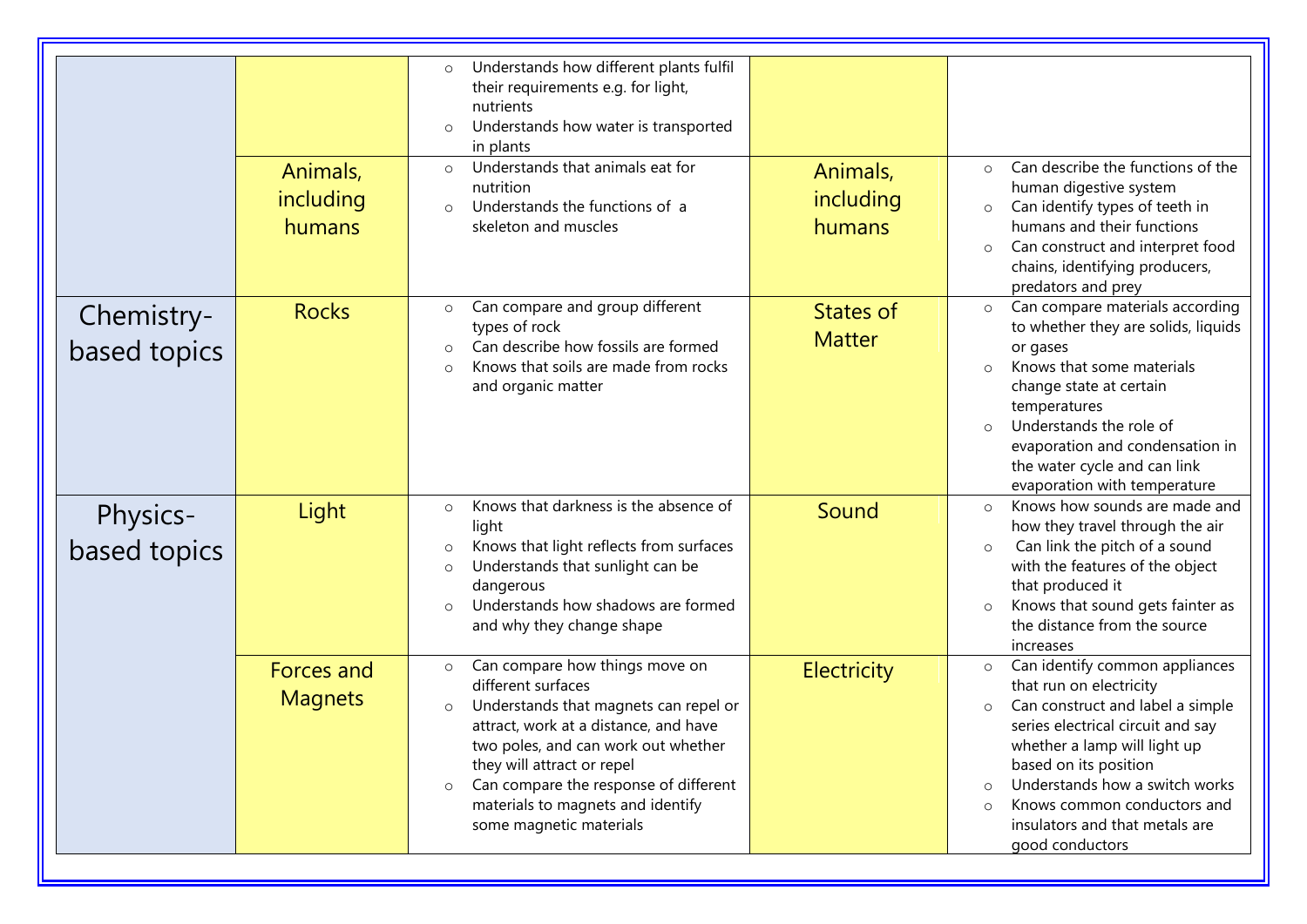|                            | Animals,<br>including<br>humans     | Understands how different plants fulfil<br>$\circ$<br>their requirements e.g. for light,<br>nutrients<br>Understands how water is transported<br>$\circ$<br>in plants<br>Understands that animals eat for<br>$\circ$<br>nutrition<br>Understands the functions of a<br>$\circ$<br>skeleton and muscles                                                | Animals,<br>including<br>humans   | Can describe the functions of the<br>$\circ$<br>human digestive system<br>Can identify types of teeth in<br>$\circ$<br>humans and their functions<br>Can construct and interpret food<br>$\circ$<br>chains, identifying producers,<br>predators and prey                                                                                                      |
|----------------------------|-------------------------------------|-------------------------------------------------------------------------------------------------------------------------------------------------------------------------------------------------------------------------------------------------------------------------------------------------------------------------------------------------------|-----------------------------------|---------------------------------------------------------------------------------------------------------------------------------------------------------------------------------------------------------------------------------------------------------------------------------------------------------------------------------------------------------------|
| Chemistry-<br>based topics | <b>Rocks</b>                        | Can compare and group different<br>$\circ$<br>types of rock<br>Can describe how fossils are formed<br>$\circ$<br>Knows that soils are made from rocks<br>$\circ$<br>and organic matter                                                                                                                                                                | <b>States of</b><br><b>Matter</b> | Can compare materials according<br>$\circ$<br>to whether they are solids, liquids<br>or gases<br>Knows that some materials<br>$\Omega$<br>change state at certain<br>temperatures<br>Understands the role of<br>$\circ$<br>evaporation and condensation in<br>the water cycle and can link<br>evaporation with temperature                                    |
| Physics-<br>based topics   | Light                               | Knows that darkness is the absence of<br>$\circ$<br>light<br>Knows that light reflects from surfaces<br>Understands that sunlight can be<br>$\circ$<br>dangerous<br>Understands how shadows are formed<br>$\circ$<br>and why they change shape                                                                                                        | Sound                             | Knows how sounds are made and<br>$\circ$<br>how they travel through the air<br>Can link the pitch of a sound<br>$\circ$<br>with the features of the object<br>that produced it<br>Knows that sound gets fainter as<br>$\circ$<br>the distance from the source<br>increases                                                                                    |
|                            | <b>Forces and</b><br><b>Magnets</b> | Can compare how things move on<br>$\circ$<br>different surfaces<br>Understands that magnets can repel or<br>$\circ$<br>attract, work at a distance, and have<br>two poles, and can work out whether<br>they will attract or repel<br>Can compare the response of different<br>$\circ$<br>materials to magnets and identify<br>some magnetic materials | <b>Electricity</b>                | Can identify common appliances<br>$\circ$<br>that run on electricity<br>Can construct and label a simple<br>$\circ$<br>series electrical circuit and say<br>whether a lamp will light up<br>based on its position<br>Understands how a switch works<br>$\circ$<br>Knows common conductors and<br>$\circ$<br>insulators and that metals are<br>good conductors |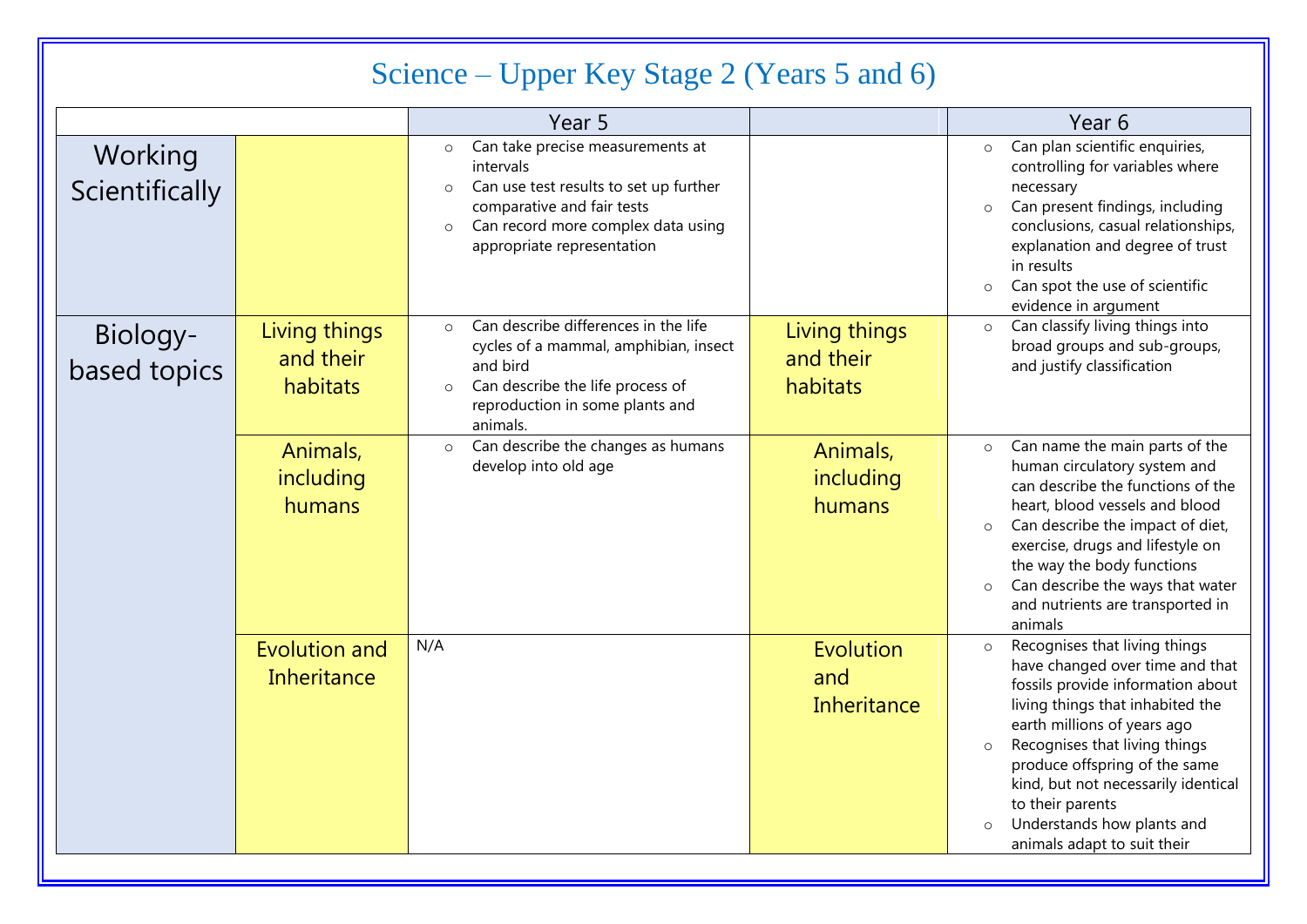### Science – Upper Key Stage 2 (Years 5 and 6)

|                           |                                            | Year 5                                                                                                                                                                                                                     |                                        | Year 6                                                                                                                                                                                                                                                                                                                                                                                   |
|---------------------------|--------------------------------------------|----------------------------------------------------------------------------------------------------------------------------------------------------------------------------------------------------------------------------|----------------------------------------|------------------------------------------------------------------------------------------------------------------------------------------------------------------------------------------------------------------------------------------------------------------------------------------------------------------------------------------------------------------------------------------|
| Working<br>Scientifically |                                            | Can take precise measurements at<br>$\circ$<br>intervals<br>Can use test results to set up further<br>$\circ$<br>comparative and fair tests<br>Can record more complex data using<br>$\circ$<br>appropriate representation |                                        | Can plan scientific enquiries,<br>$\circ$<br>controlling for variables where<br>necessary<br>Can present findings, including<br>$\circ$<br>conclusions, casual relationships,<br>explanation and degree of trust<br>in results<br>Can spot the use of scientific<br>$\circ$<br>evidence in argument                                                                                      |
| Biology-<br>based topics  | Living things<br>and their<br>habitats     | Can describe differences in the life<br>$\circ$<br>cycles of a mammal, amphibian, insect<br>and bird<br>Can describe the life process of<br>$\circ$<br>reproduction in some plants and<br>animals.                         | Living things<br>and their<br>habitats | Can classify living things into<br>$\circ$<br>broad groups and sub-groups,<br>and justify classification                                                                                                                                                                                                                                                                                 |
|                           | Animals,<br>including<br>humans            | Can describe the changes as humans<br>$\circ$<br>develop into old age                                                                                                                                                      | Animals,<br>including<br>humans        | Can name the main parts of the<br>$\circ$<br>human circulatory system and<br>can describe the functions of the<br>heart, blood vessels and blood<br>Can describe the impact of diet,<br>$\circ$<br>exercise, drugs and lifestyle on<br>the way the body functions<br>Can describe the ways that water<br>$\circ$<br>and nutrients are transported in<br>animals                          |
|                           | <b>Evolution and</b><br><b>Inheritance</b> | N/A                                                                                                                                                                                                                        | Evolution<br>and<br>Inheritance        | Recognises that living things<br>$\circ$<br>have changed over time and that<br>fossils provide information about<br>living things that inhabited the<br>earth millions of years ago<br>Recognises that living things<br>$\circ$<br>produce offspring of the same<br>kind, but not necessarily identical<br>to their parents<br>Understands how plants and<br>animals adapt to suit their |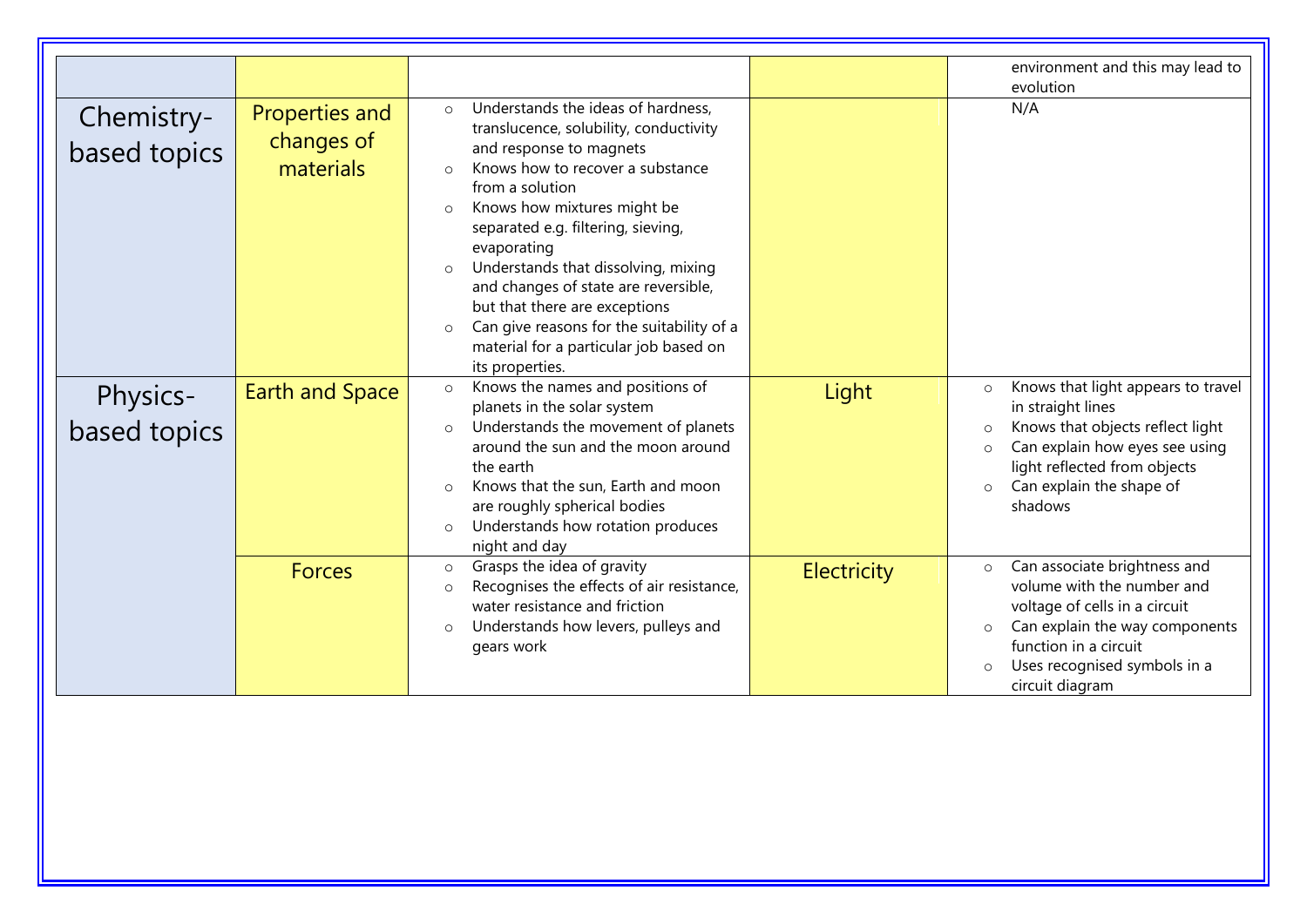|                            |                                           |                                                                                                                                                                                                                                                                                                                                                                                                                                                                                                                                        |             | environment and this may lead to                                                                                                                                                                                                                  |
|----------------------------|-------------------------------------------|----------------------------------------------------------------------------------------------------------------------------------------------------------------------------------------------------------------------------------------------------------------------------------------------------------------------------------------------------------------------------------------------------------------------------------------------------------------------------------------------------------------------------------------|-------------|---------------------------------------------------------------------------------------------------------------------------------------------------------------------------------------------------------------------------------------------------|
|                            |                                           |                                                                                                                                                                                                                                                                                                                                                                                                                                                                                                                                        |             | evolution                                                                                                                                                                                                                                         |
| Chemistry-<br>based topics | Properties and<br>changes of<br>materials | Understands the ideas of hardness,<br>$\circ$<br>translucence, solubility, conductivity<br>and response to magnets<br>Knows how to recover a substance<br>$\bigcirc$<br>from a solution<br>Knows how mixtures might be<br>$\circ$<br>separated e.g. filtering, sieving,<br>evaporating<br>Understands that dissolving, mixing<br>$\circ$<br>and changes of state are reversible,<br>but that there are exceptions<br>Can give reasons for the suitability of a<br>$\circ$<br>material for a particular job based on<br>its properties. |             | N/A                                                                                                                                                                                                                                               |
| Physics-<br>based topics   | <b>Earth and Space</b>                    | Knows the names and positions of<br>$\circ$<br>planets in the solar system<br>Understands the movement of planets<br>$\circ$<br>around the sun and the moon around<br>the earth<br>Knows that the sun, Earth and moon<br>$\circ$<br>are roughly spherical bodies<br>Understands how rotation produces<br>$\circ$<br>night and day                                                                                                                                                                                                      | Light       | Knows that light appears to travel<br>$\circ$<br>in straight lines<br>Knows that objects reflect light<br>$\Omega$<br>Can explain how eyes see using<br>$\circ$<br>light reflected from objects<br>Can explain the shape of<br>$\circ$<br>shadows |
|                            | <b>Forces</b>                             | Grasps the idea of gravity<br>$\circ$<br>Recognises the effects of air resistance,<br>$\circ$<br>water resistance and friction<br>Understands how levers, pulleys and<br>$\circ$<br>gears work                                                                                                                                                                                                                                                                                                                                         | Electricity | Can associate brightness and<br>$\circ$<br>volume with the number and<br>voltage of cells in a circuit<br>Can explain the way components<br>function in a circuit<br>Uses recognised symbols in a<br>circuit diagram                              |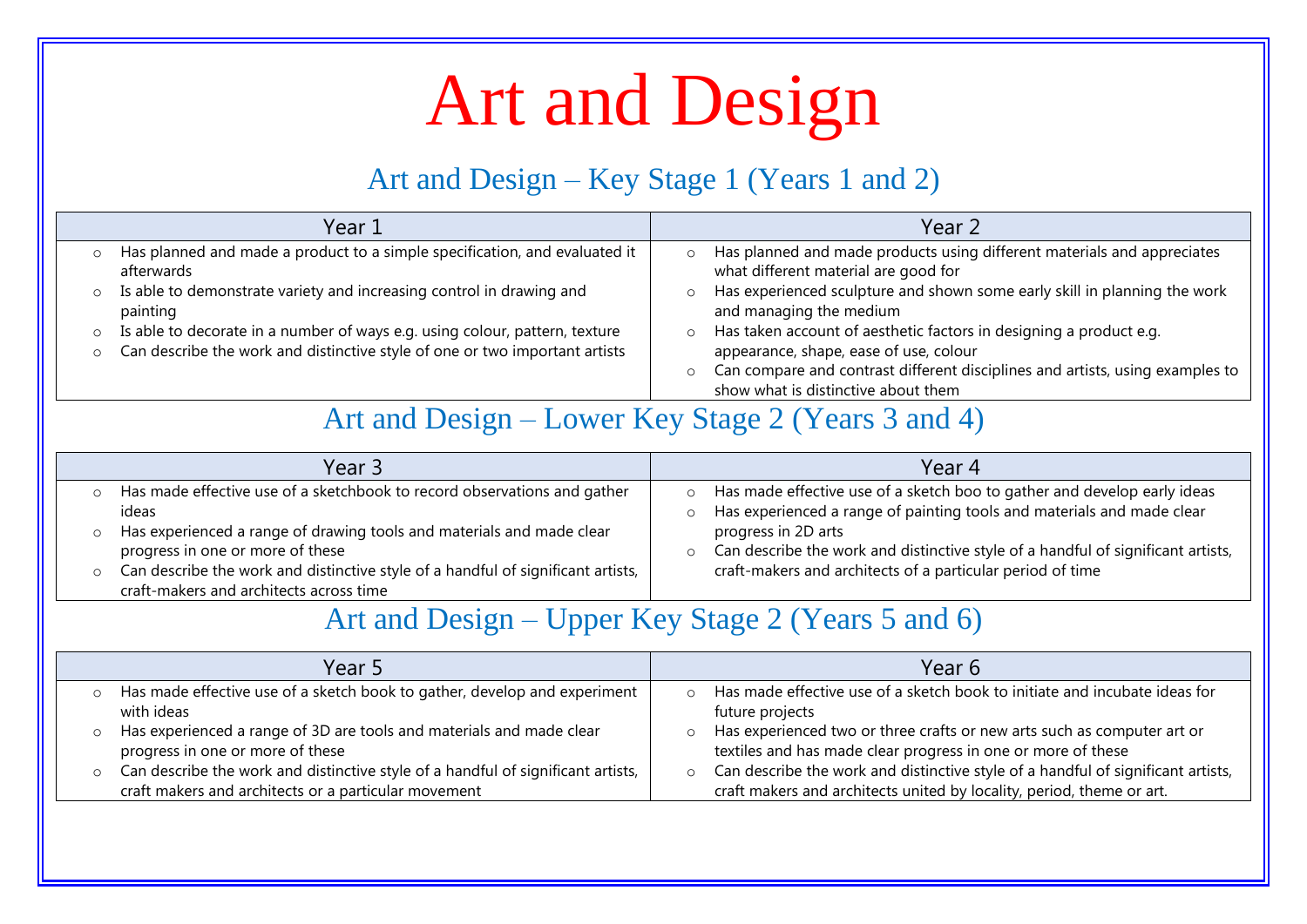# Art and Design

#### Art and Design – Key Stage 1 (Years 1 and 2)

| Year 1                                                                                                                                                                           | Year 2                                                                                                                                                                                                                                                     |
|----------------------------------------------------------------------------------------------------------------------------------------------------------------------------------|------------------------------------------------------------------------------------------------------------------------------------------------------------------------------------------------------------------------------------------------------------|
| Has planned and made a product to a simple specification, and evaluated it<br>O<br>afterwards                                                                                    | Has planned and made products using different materials and appreciates<br>$\circ$<br>what different material are good for                                                                                                                                 |
| Is able to demonstrate variety and increasing control in drawing and<br>$\circ$<br>painting                                                                                      | Has experienced sculpture and shown some early skill in planning the work<br>and managing the medium                                                                                                                                                       |
| Is able to decorate in a number of ways e.g. using colour, pattern, texture<br>$\circ$<br>Can describe the work and distinctive style of one or two important artists<br>$\circ$ | Has taken account of aesthetic factors in designing a product e.g.<br>$\circ$<br>appearance, shape, ease of use, colour<br>Can compare and contrast different disciplines and artists, using examples to<br>$\circ$<br>show what is distinctive about them |

#### Art and Design – Lower Key Stage 2 (Years 3 and 4)

| Year 3                                                                                                                      | Year 4                                                                                                                                             |
|-----------------------------------------------------------------------------------------------------------------------------|----------------------------------------------------------------------------------------------------------------------------------------------------|
| Has made effective use of a sketchbook to record observations and gather<br>ideas                                           | Has made effective use of a sketch boo to gather and develop early ideas<br>Has experienced a range of painting tools and materials and made clear |
| Has experienced a range of drawing tools and materials and made clear<br>progress in one or more of these                   | progress in 2D arts<br>Can describe the work and distinctive style of a handful of significant artists,                                            |
| Can describe the work and distinctive style of a handful of significant artists,<br>craft-makers and architects across time | craft-makers and architects of a particular period of time                                                                                         |

#### Art and Design – Upper Key Stage 2 (Years 5 and 6)

| Year 5                                                                                                                                                                                                                                                                                                                                                               | Year 6                                                                                                                                                                                                                                                                                                                                                                                                      |
|----------------------------------------------------------------------------------------------------------------------------------------------------------------------------------------------------------------------------------------------------------------------------------------------------------------------------------------------------------------------|-------------------------------------------------------------------------------------------------------------------------------------------------------------------------------------------------------------------------------------------------------------------------------------------------------------------------------------------------------------------------------------------------------------|
| o Has made effective use of a sketch book to gather, develop and experiment<br>with ideas<br>Has experienced a range of 3D are tools and materials and made clear<br>$\circ$<br>progress in one or more of these<br>$\circ$ Can describe the work and distinctive style of a handful of significant artists,<br>craft makers and architects or a particular movement | o Has made effective use of a sketch book to initiate and incubate ideas for<br>future projects<br>o Has experienced two or three crafts or new arts such as computer art or<br>textiles and has made clear progress in one or more of these<br>○ Can describe the work and distinctive style of a handful of significant artists,<br>craft makers and architects united by locality, period, theme or art. |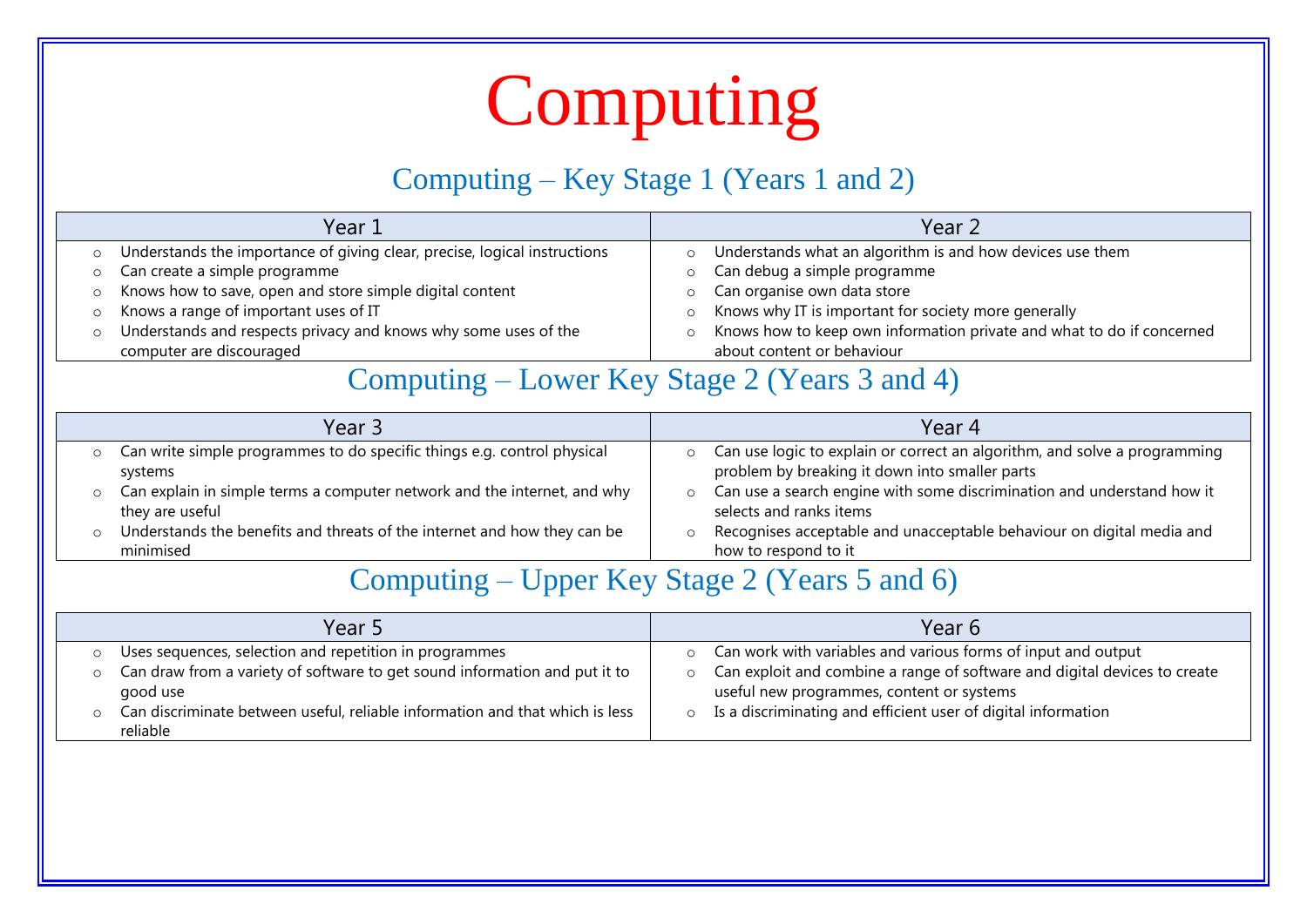# Computing

#### Computing – Key Stage 1 (Years 1 and 2)

| Year 1                                                                    |         | Year 2                                                                |
|---------------------------------------------------------------------------|---------|-----------------------------------------------------------------------|
| Understands the importance of giving clear, precise, logical instructions | O       | Understands what an algorithm is and how devices use them             |
| Can create a simple programme                                             |         | Can debug a simple programme                                          |
| Knows how to save, open and store simple digital content                  |         | Can organise own data store                                           |
| Knows a range of important uses of IT                                     | $\circ$ | Knows why IT is important for society more generally                  |
| Understands and respects privacy and knows why some uses of the           | O       | Knows how to keep own information private and what to do if concerned |
| computer are discouraged                                                  |         | about content or behaviour                                            |

#### Computing – Lower Key Stage 2 (Years 3 and 4)

|         | Year 3                                                                                      | Year 4                                                                                                                      |
|---------|---------------------------------------------------------------------------------------------|-----------------------------------------------------------------------------------------------------------------------------|
|         | Can write simple programmes to do specific things e.g. control physical<br>systems          | Can use logic to explain or correct an algorithm, and solve a programming<br>problem by breaking it down into smaller parts |
|         | Can explain in simple terms a computer network and the internet, and why<br>they are useful | Can use a search engine with some discrimination and understand how it<br>selects and ranks items                           |
| $\circ$ | Understands the benefits and threats of the internet and how they can be<br>minimised       | Recognises acceptable and unacceptable behaviour on digital media and<br>how to respond to it                               |

#### Computing – Upper Key Stage 2 (Years 5 and 6)

| Year 5                                                                                   | Year 6                                                                                                                 |
|------------------------------------------------------------------------------------------|------------------------------------------------------------------------------------------------------------------------|
| Uses sequences, selection and repetition in programmes                                   | Can work with variables and various forms of input and output<br>$\circ$                                               |
| Can draw from a variety of software to get sound information and put it to<br>good use   | Can exploit and combine a range of software and digital devices to create<br>useful new programmes, content or systems |
| Can discriminate between useful, reliable information and that which is less<br>reliable | Is a discriminating and efficient user of digital information<br>$\circ$                                               |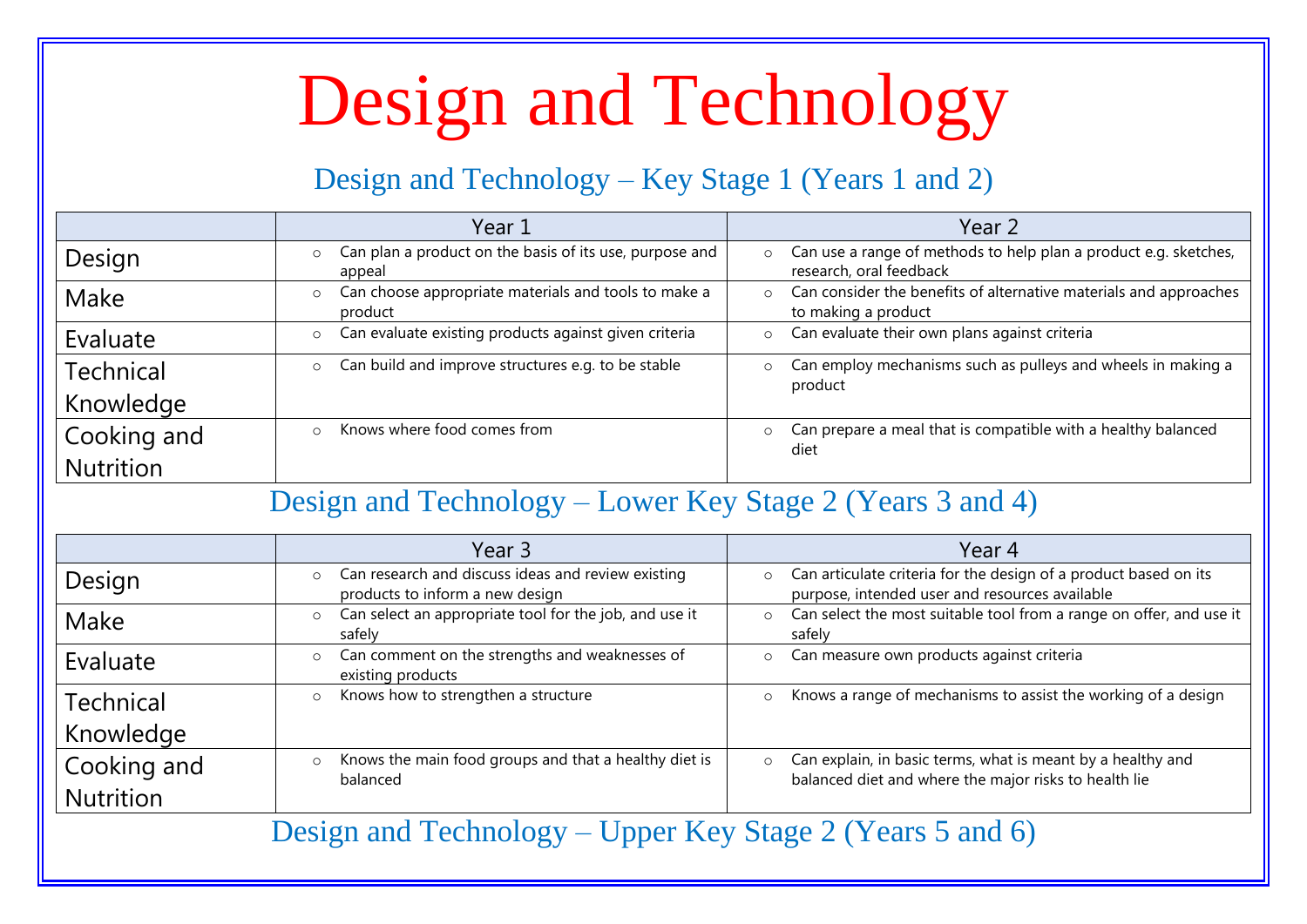# Design and Technology

#### Design and Technology – Key Stage 1 (Years 1 and 2)

|                  | Year 1                                                                     | Year 2                                                                                                 |  |
|------------------|----------------------------------------------------------------------------|--------------------------------------------------------------------------------------------------------|--|
| Design           | Can plan a product on the basis of its use, purpose and<br>appeal          | Can use a range of methods to help plan a product e.g. sketches,<br>$\circ$<br>research, oral feedback |  |
| Make             | Can choose appropriate materials and tools to make a<br>$\circ$<br>product | Can consider the benefits of alternative materials and approaches<br>$\circ$<br>to making a product    |  |
| Evaluate         | Can evaluate existing products against given criteria<br>$\circ$           | Can evaluate their own plans against criteria<br>$\circ$                                               |  |
| <b>Technical</b> | Can build and improve structures e.g. to be stable                         | Can employ mechanisms such as pulleys and wheels in making a<br>$\circ$<br>product                     |  |
| Knowledge        |                                                                            |                                                                                                        |  |
| Cooking and      | Knows where food comes from                                                | Can prepare a meal that is compatible with a healthy balanced<br>$\circ$<br>diet                       |  |
| <b>Nutrition</b> |                                                                            |                                                                                                        |  |

#### Design and Technology – Lower Key Stage 2 (Years 3 and 4)

|                  | Year 3                                                                                | Year 4                                                                                                                          |
|------------------|---------------------------------------------------------------------------------------|---------------------------------------------------------------------------------------------------------------------------------|
| Design           | Can research and discuss ideas and review existing<br>products to inform a new design | Can articulate criteria for the design of a product based on its<br>$\circ$<br>purpose, intended user and resources available   |
| Make             | Can select an appropriate tool for the job, and use it<br>$\circ$<br>safely           | Can select the most suitable tool from a range on offer, and use it<br>$\circ$<br>safely                                        |
| Evaluate         | Can comment on the strengths and weaknesses of<br>existing products                   | Can measure own products against criteria<br>$\circ$                                                                            |
| <b>Technical</b> | Knows how to strengthen a structure<br>$\circ$                                        | Knows a range of mechanisms to assist the working of a design<br>$\circ$                                                        |
| Knowledge        |                                                                                       |                                                                                                                                 |
| Cooking and      | Knows the main food groups and that a healthy diet is<br>balanced                     | Can explain, in basic terms, what is meant by a healthy and<br>$\circ$<br>balanced diet and where the major risks to health lie |
| <b>Nutrition</b> |                                                                                       |                                                                                                                                 |

Design and Technology – Upper Key Stage 2 (Years 5 and 6)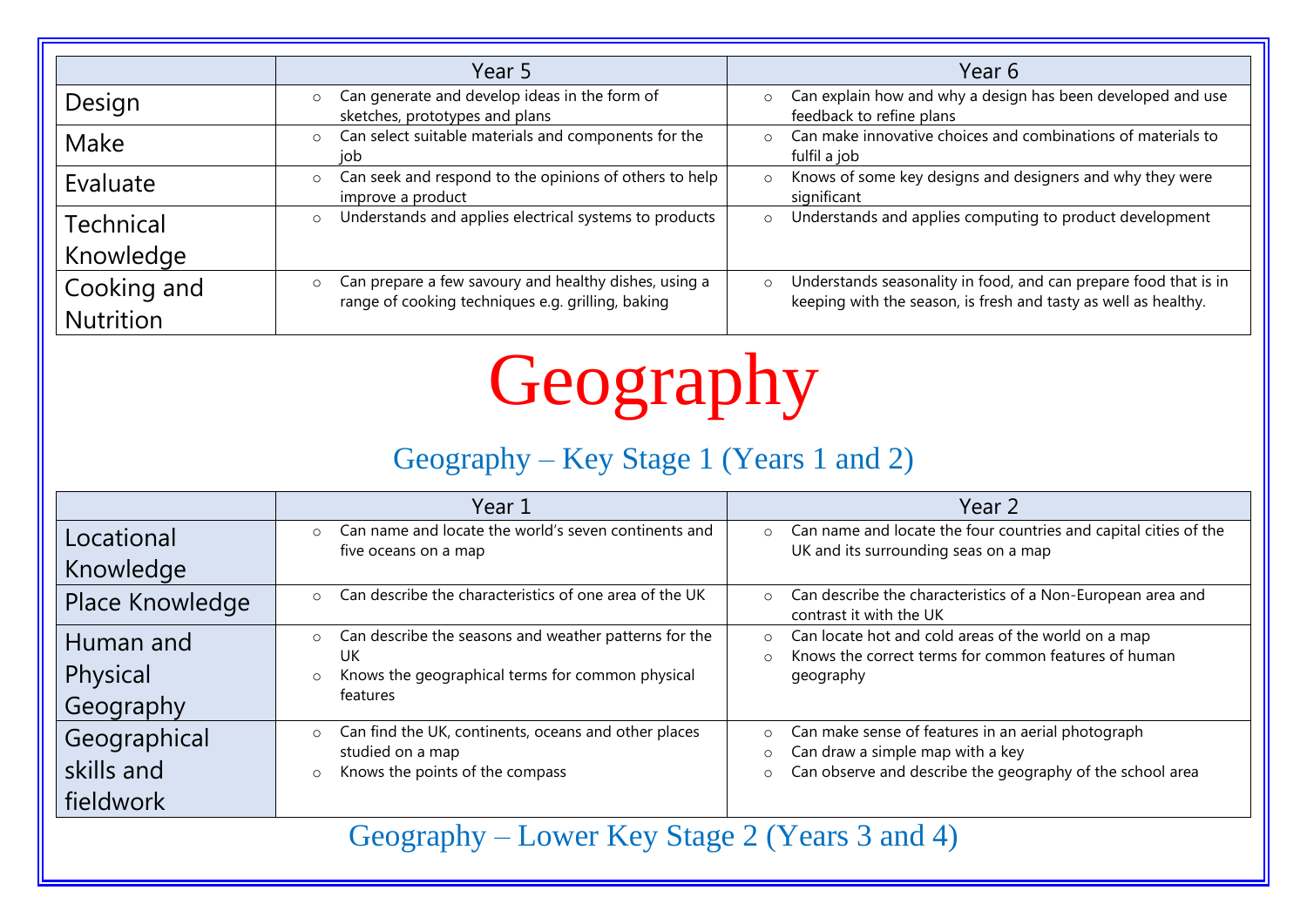|                  | Year 5                                                                                                                | Year 6                                                                                                                                         |
|------------------|-----------------------------------------------------------------------------------------------------------------------|------------------------------------------------------------------------------------------------------------------------------------------------|
| Design           | Can generate and develop ideas in the form of<br>$\circ$<br>sketches, prototypes and plans                            | Can explain how and why a design has been developed and use<br>$\circ$<br>feedback to refine plans                                             |
| Make             | Can select suitable materials and components for the<br>$\Omega$<br>job                                               | Can make innovative choices and combinations of materials to<br>$\circ$<br>fulfil a job                                                        |
| Evaluate         | Can seek and respond to the opinions of others to help  <br>$\circ$<br>improve a product                              | Knows of some key designs and designers and why they were<br>$\circ$<br>significant                                                            |
| Technical        | Understands and applies electrical systems to products<br>$\circ$                                                     | Understands and applies computing to product development<br>$\circ$                                                                            |
| Knowledge        |                                                                                                                       |                                                                                                                                                |
| Cooking and      | Can prepare a few savoury and healthy dishes, using a<br>$\circ$<br>range of cooking techniques e.g. grilling, baking | Understands seasonality in food, and can prepare food that is in<br>$\circ$<br>keeping with the season, is fresh and tasty as well as healthy. |
| <b>Nutrition</b> |                                                                                                                       |                                                                                                                                                |

# Geography

### Geography – Key Stage 1 (Years 1 and 2)

|                 | Year 1                                                                                  | Year 2                                                                                                                               |
|-----------------|-----------------------------------------------------------------------------------------|--------------------------------------------------------------------------------------------------------------------------------------|
| Locational      | Can name and locate the world's seven continents and<br>$\circ$<br>five oceans on a map | Can name and locate the four countries and capital cities of the<br>$\circ$<br>UK and its surrounding seas on a map                  |
| Knowledge       |                                                                                         |                                                                                                                                      |
| Place Knowledge | Can describe the characteristics of one area of the UK<br>$\circ$                       | Can describe the characteristics of a Non-European area and<br>$\circ$<br>contrast it with the UK                                    |
| Human and       | Can describe the seasons and weather patterns for the<br>$\circ$<br>UK                  | Can locate hot and cold areas of the world on a map<br>$\circ$<br>Knows the correct terms for common features of human<br>$\bigcirc$ |
| Physical        | Knows the geographical terms for common physical<br>$\circ$                             | geography                                                                                                                            |
| Geography       | features                                                                                |                                                                                                                                      |
| Geographical    | Can find the UK, continents, oceans and other places<br>$\circ$<br>studied on a map     | Can make sense of features in an aerial photograph<br>$\circ$<br>Can draw a simple map with a key                                    |
| skills and      | Knows the points of the compass<br>$\circ$                                              | O<br>Can observe and describe the geography of the school area<br>$\circ$                                                            |
| fieldwork       |                                                                                         |                                                                                                                                      |

Geography – Lower Key Stage 2 (Years 3 and 4)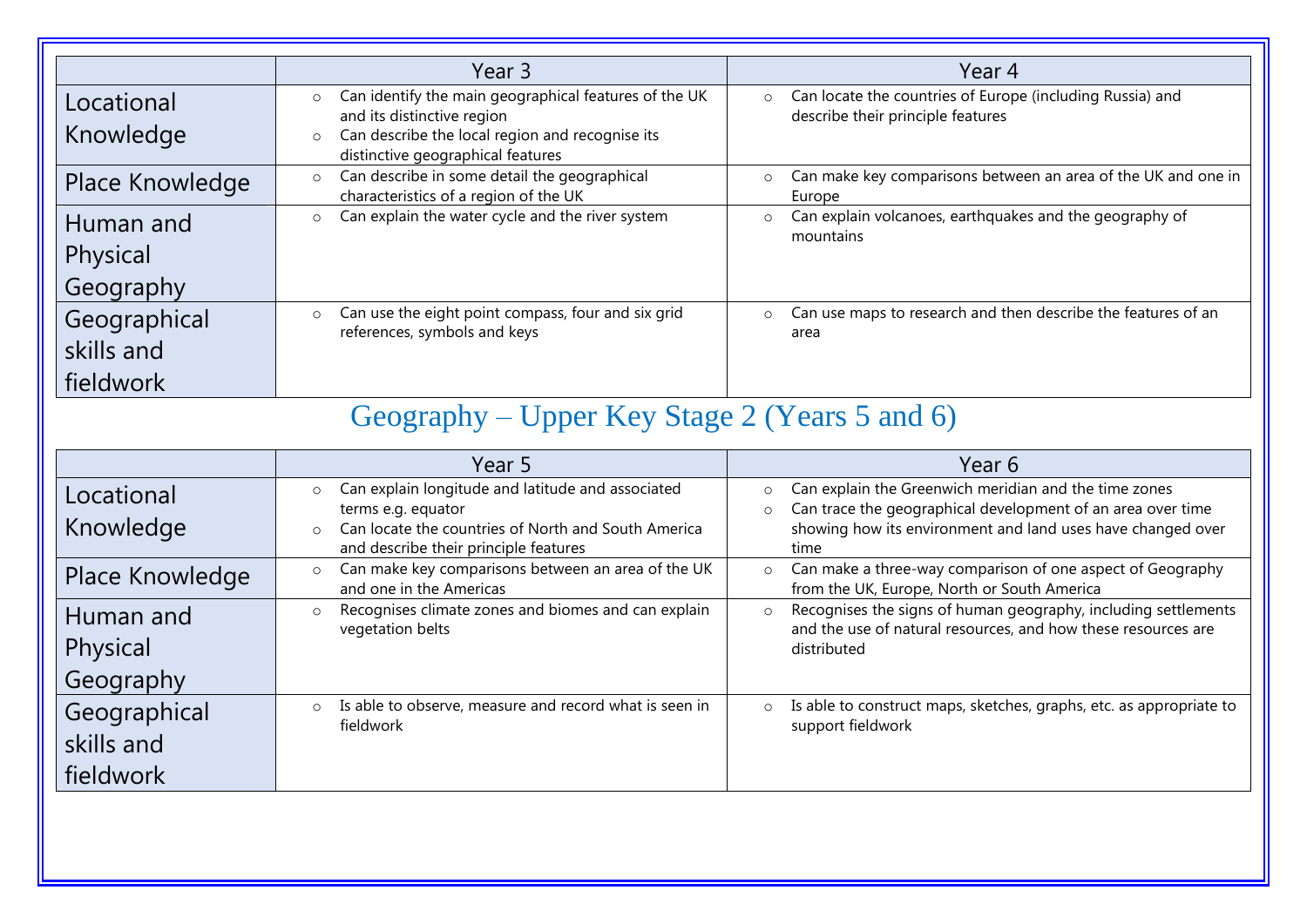|                                         | Year 3                                                                                                                                                                                            | Year 4                                                                                                    |
|-----------------------------------------|---------------------------------------------------------------------------------------------------------------------------------------------------------------------------------------------------|-----------------------------------------------------------------------------------------------------------|
| Locational<br>Knowledge                 | Can identify the main geographical features of the UK<br>$\circ$<br>and its distinctive region<br>Can describe the local region and recognise its<br>$\circ$<br>distinctive geographical features | Can locate the countries of Europe (including Russia) and<br>$\circ$<br>describe their principle features |
| Place Knowledge                         | Can describe in some detail the geographical<br>$\circ$<br>characteristics of a region of the UK                                                                                                  | Can make key comparisons between an area of the UK and one in<br>$\circ$<br>Europe                        |
| Human and<br>Physical<br>Geography      | Can explain the water cycle and the river system<br>$\circ$                                                                                                                                       | Can explain volcanoes, earthquakes and the geography of<br>$\circ$<br>mountains                           |
| Geographical<br>skills and<br>fieldwork | Can use the eight point compass, four and six grid<br>$\circ$<br>references, symbols and keys                                                                                                     | Can use maps to research and then describe the features of an<br>$\circ$<br>area                          |

### Geography – Upper Key Stage 2 (Years 5 and 6)

|                                         | Year 5                                                                                                                                                                                        | Year 6                                                                                                                                                                                                            |
|-----------------------------------------|-----------------------------------------------------------------------------------------------------------------------------------------------------------------------------------------------|-------------------------------------------------------------------------------------------------------------------------------------------------------------------------------------------------------------------|
| Locational<br>Knowledge                 | Can explain longitude and latitude and associated<br>$\circ$<br>terms e.g. equator<br>Can locate the countries of North and South America<br>$\circ$<br>and describe their principle features | Can explain the Greenwich meridian and the time zones<br>$\circ$<br>Can trace the geographical development of an area over time<br>$\circ$<br>showing how its environment and land uses have changed over<br>time |
| Place Knowledge                         | Can make key comparisons between an area of the UK<br>$\circ$<br>and one in the Americas                                                                                                      | Can make a three-way comparison of one aspect of Geography<br>$\circ$<br>from the UK, Europe, North or South America                                                                                              |
| Human and<br>Physical<br>Geography      | Recognises climate zones and biomes and can explain<br>vegetation belts                                                                                                                       | Recognises the signs of human geography, including settlements<br>$\circ$<br>and the use of natural resources, and how these resources are<br>distributed                                                         |
| Geographical<br>skills and<br>fieldwork | Is able to observe, measure and record what is seen in<br>$\circ$<br>fieldwork                                                                                                                | Is able to construct maps, sketches, graphs, etc. as appropriate to<br>$\circ$<br>support fieldwork                                                                                                               |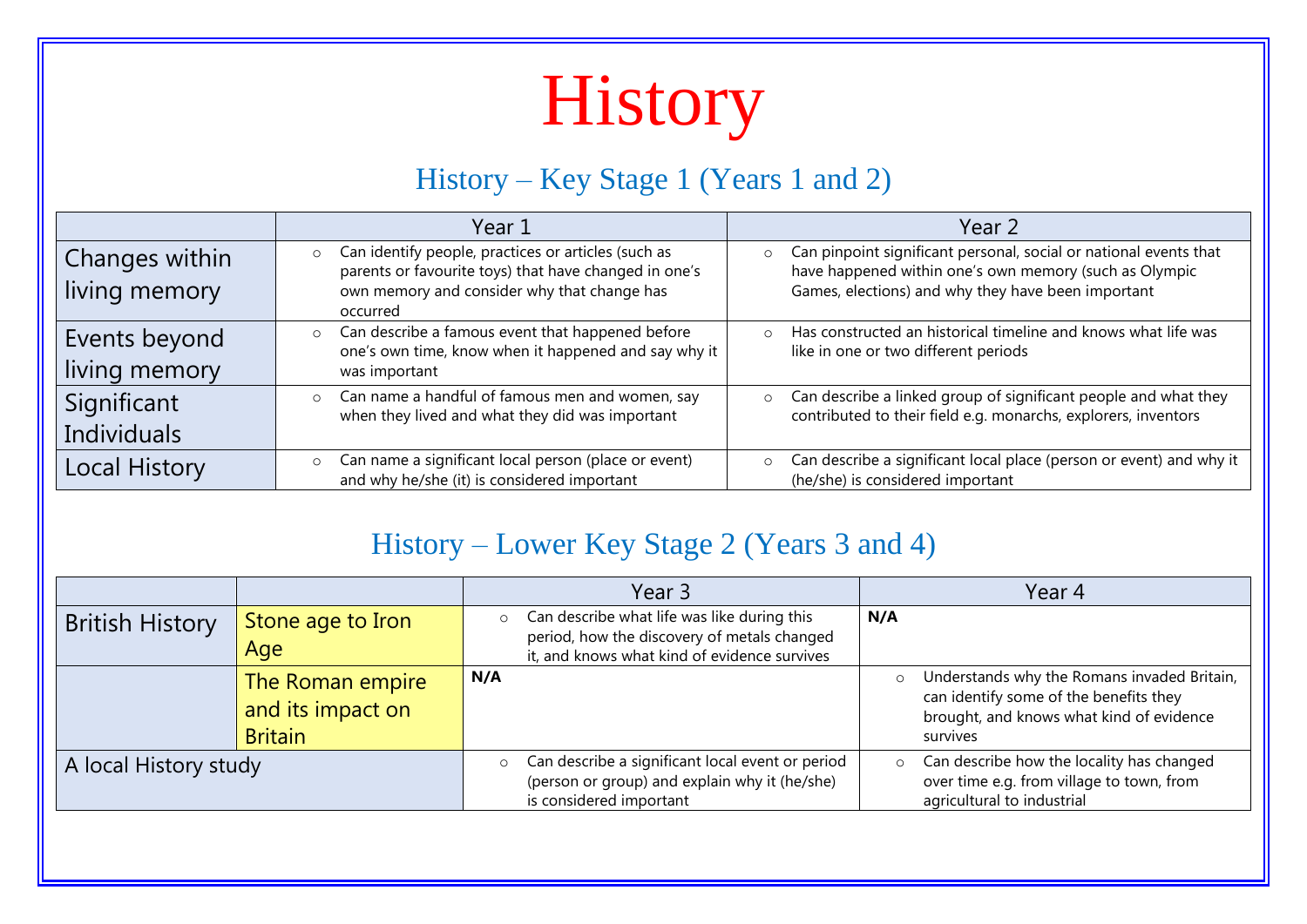# History

#### History – Key Stage 1 (Years 1 and 2)

|                                   | Year 1                                                                                                                                                                             | Year 2                                                                                                                                                                                       |
|-----------------------------------|------------------------------------------------------------------------------------------------------------------------------------------------------------------------------------|----------------------------------------------------------------------------------------------------------------------------------------------------------------------------------------------|
| Changes within<br>living memory   | Can identify people, practices or articles (such as<br>$\circ$<br>parents or favourite toys) that have changed in one's<br>own memory and consider why that change has<br>occurred | Can pinpoint significant personal, social or national events that<br>$\circ$<br>have happened within one's own memory (such as Olympic<br>Games, elections) and why they have been important |
| Events beyond<br>living memory    | Can describe a famous event that happened before<br>$\circ$<br>one's own time, know when it happened and say why it<br>was important                                               | Has constructed an historical timeline and knows what life was<br>$\circ$<br>like in one or two different periods                                                                            |
| Significant<br><b>Individuals</b> | Can name a handful of famous men and women, say<br>$\circ$<br>when they lived and what they did was important                                                                      | Can describe a linked group of significant people and what they<br>$\circ$<br>contributed to their field e.g. monarchs, explorers, inventors                                                 |
| <b>Local History</b>              | Can name a significant local person (place or event)<br>$\circ$<br>and why he/she (it) is considered important                                                                     | Can describe a significant local place (person or event) and why it<br>$\circ$<br>(he/she) is considered important                                                                           |

#### History – Lower Key Stage 2 (Years 3 and 4)

|                        |                                                         | Year 3                                                                                                                                     |         | Year 4                                                                                                                                        |
|------------------------|---------------------------------------------------------|--------------------------------------------------------------------------------------------------------------------------------------------|---------|-----------------------------------------------------------------------------------------------------------------------------------------------|
| <b>British History</b> | Stone age to Iron<br>Age                                | Can describe what life was like during this<br>period, how the discovery of metals changed<br>it, and knows what kind of evidence survives | N/A     |                                                                                                                                               |
|                        | The Roman empire<br>and its impact on<br><b>Britain</b> | N/A                                                                                                                                        | $\circ$ | Understands why the Romans invaded Britain,<br>can identify some of the benefits they<br>brought, and knows what kind of evidence<br>survives |
| A local History study  |                                                         | Can describe a significant local event or period<br>(person or group) and explain why it (he/she)<br>is considered important               | $\circ$ | Can describe how the locality has changed<br>over time e.g. from village to town, from<br>agricultural to industrial                          |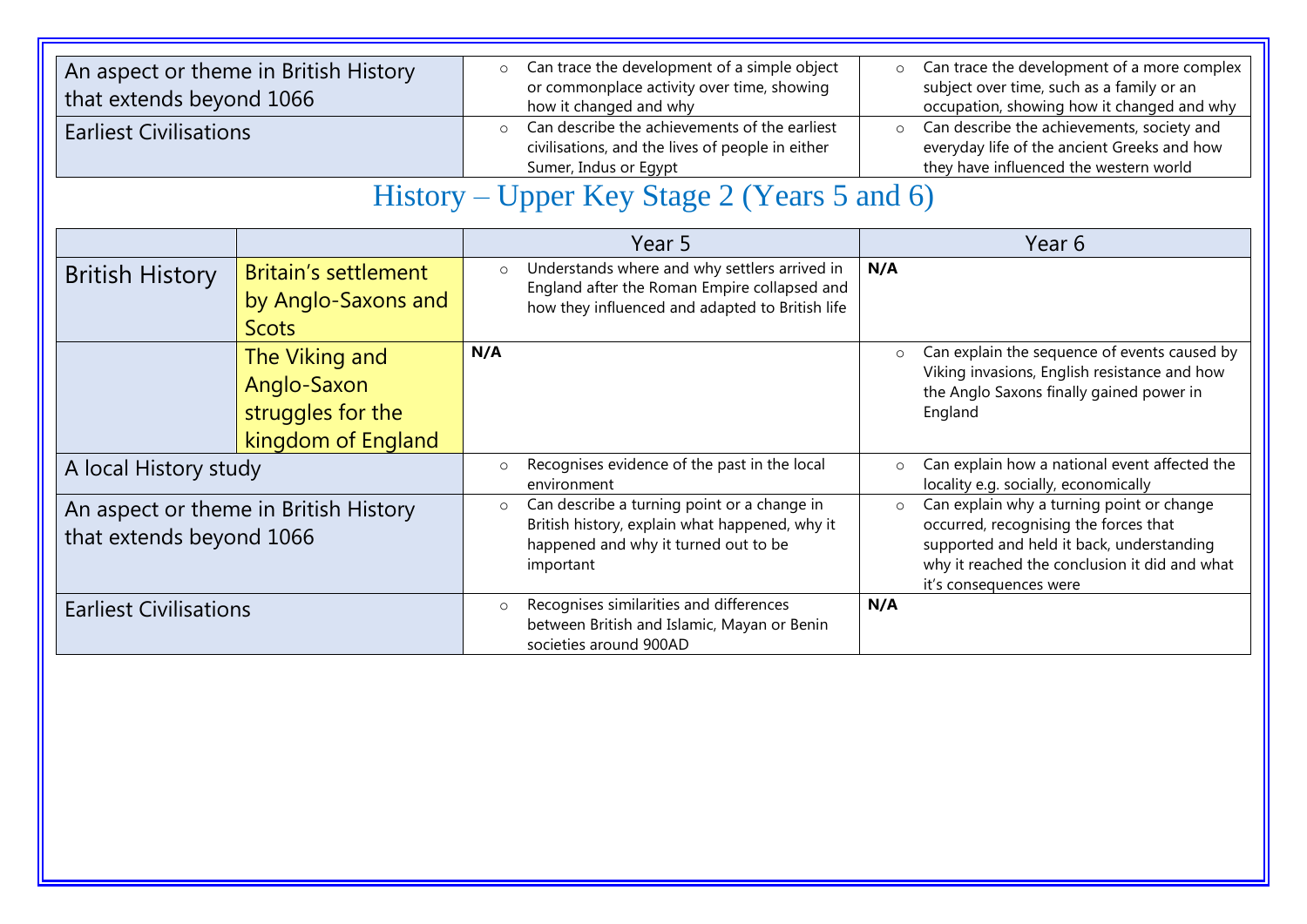| An aspect or theme in British History<br>that extends beyond 1066<br><b>Earliest Civilisations</b> |                                                                          | Can trace the development of a simple object<br>$\circ$<br>or commonplace activity over time, showing<br>how it changed and why<br>Can describe the achievements of the earliest<br>$\circ$<br>civilisations, and the lives of people in either<br>Sumer, Indus or Egypt<br>History – Upper Key Stage 2 (Years 5 and 6) |                                                                                                                                                    | Can trace the development of a more complex<br>$\circ$<br>subject over time, such as a family or an<br>occupation, showing how it changed and why<br>Can describe the achievements, society and<br>$\circ$<br>everyday life of the ancient Greeks and how<br>they have influenced the western world |                                                                                                                                                                                                            |
|----------------------------------------------------------------------------------------------------|--------------------------------------------------------------------------|-------------------------------------------------------------------------------------------------------------------------------------------------------------------------------------------------------------------------------------------------------------------------------------------------------------------------|----------------------------------------------------------------------------------------------------------------------------------------------------|-----------------------------------------------------------------------------------------------------------------------------------------------------------------------------------------------------------------------------------------------------------------------------------------------------|------------------------------------------------------------------------------------------------------------------------------------------------------------------------------------------------------------|
|                                                                                                    |                                                                          |                                                                                                                                                                                                                                                                                                                         | Year 5                                                                                                                                             |                                                                                                                                                                                                                                                                                                     | Year 6                                                                                                                                                                                                     |
| <b>British History</b>                                                                             | <b>Britain's settlement</b><br>by Anglo-Saxons and<br><b>Scots</b>       | $\circ$                                                                                                                                                                                                                                                                                                                 | Understands where and why settlers arrived in<br>England after the Roman Empire collapsed and<br>how they influenced and adapted to British life   | N/A                                                                                                                                                                                                                                                                                                 |                                                                                                                                                                                                            |
|                                                                                                    | The Viking and<br>Anglo-Saxon<br>struggles for the<br>kingdom of England | N/A                                                                                                                                                                                                                                                                                                                     |                                                                                                                                                    | $\circ$                                                                                                                                                                                                                                                                                             | Can explain the sequence of events caused by<br>Viking invasions, English resistance and how<br>the Anglo Saxons finally gained power in<br>England                                                        |
| A local History study                                                                              |                                                                          | $\circ$                                                                                                                                                                                                                                                                                                                 | Recognises evidence of the past in the local<br>environment                                                                                        | $\circ$                                                                                                                                                                                                                                                                                             | Can explain how a national event affected the<br>locality e.g. socially, economically                                                                                                                      |
| An aspect or theme in British History<br>that extends beyond 1066                                  |                                                                          | $\circ$                                                                                                                                                                                                                                                                                                                 | Can describe a turning point or a change in<br>British history, explain what happened, why it<br>happened and why it turned out to be<br>important | $\circ$                                                                                                                                                                                                                                                                                             | Can explain why a turning point or change<br>occurred, recognising the forces that<br>supported and held it back, understanding<br>why it reached the conclusion it did and what<br>it's consequences were |
| <b>Earliest Civilisations</b>                                                                      |                                                                          | $\circ$                                                                                                                                                                                                                                                                                                                 | Recognises similarities and differences<br>between British and Islamic, Mayan or Benin<br>societies around 900AD                                   | N/A                                                                                                                                                                                                                                                                                                 |                                                                                                                                                                                                            |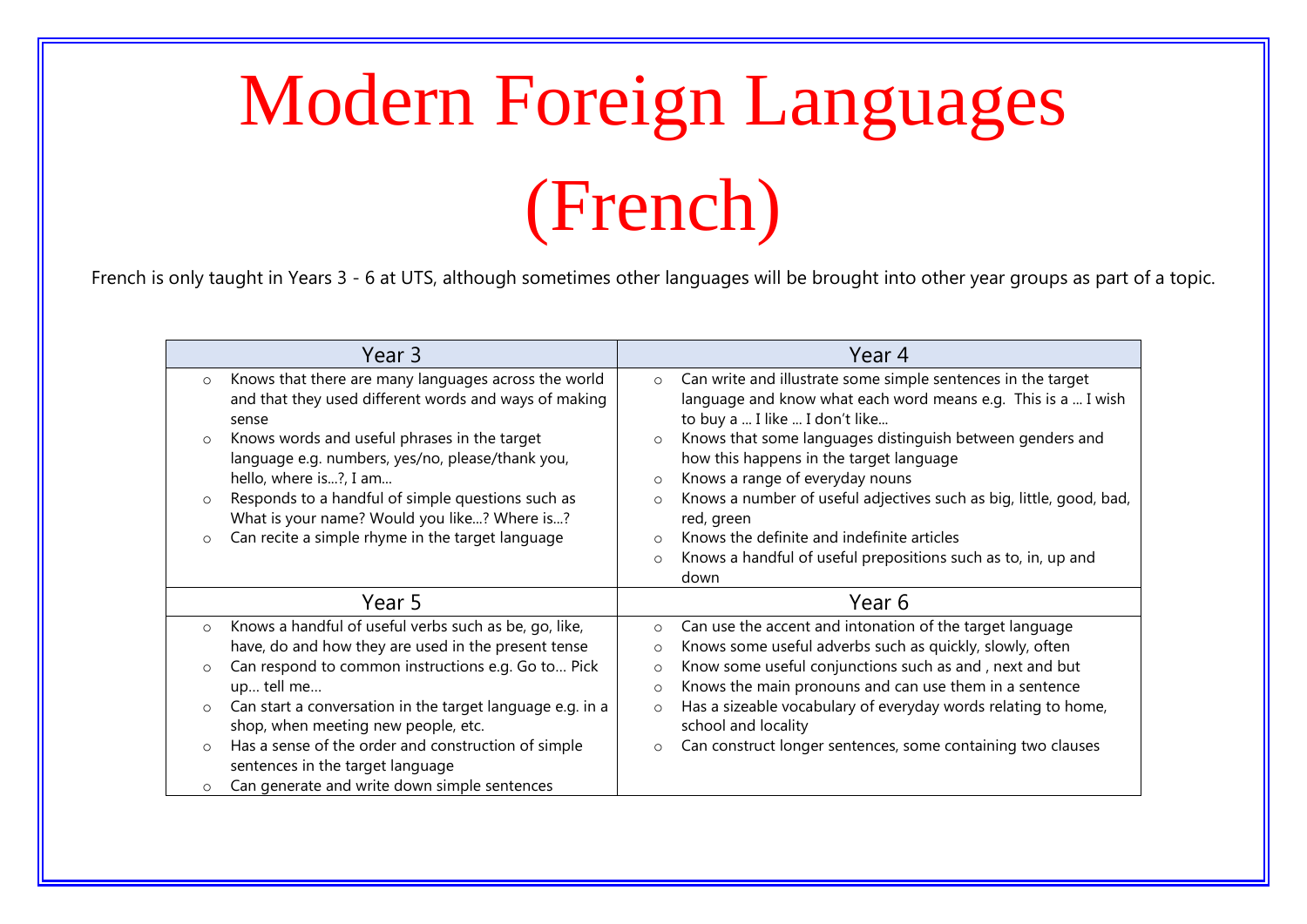# Modern Foreign Languages (French)

French is only taught in Years 3 - 6 at UTS, although sometimes other languages will be brought into other year groups as part of a topic.

| Year 3                                                                                                                                                                                                                                                                                                                                     | Year 4                                                                                                                                                                                                                                                                                                                                                                                                                        |
|--------------------------------------------------------------------------------------------------------------------------------------------------------------------------------------------------------------------------------------------------------------------------------------------------------------------------------------------|-------------------------------------------------------------------------------------------------------------------------------------------------------------------------------------------------------------------------------------------------------------------------------------------------------------------------------------------------------------------------------------------------------------------------------|
| Knows that there are many languages across the world<br>$\circ$<br>and that they used different words and ways of making<br>sense<br>Knows words and useful phrases in the target<br>$\circ$<br>language e.g. numbers, yes/no, please/thank you,<br>hello, where is?, I am<br>Responds to a handful of simple questions such as<br>$\circ$ | Can write and illustrate some simple sentences in the target<br>$\circ$<br>language and know what each word means e.g. This is a  I wish<br>to buy a  I like  I don't like<br>Knows that some languages distinguish between genders and<br>$\circ$<br>how this happens in the target language<br>Knows a range of everyday nouns<br>$\circ$<br>Knows a number of useful adjectives such as big, little, good, bad,<br>$\circ$ |
| What is your name? Would you like? Where is?<br>Can recite a simple rhyme in the target language<br>$\circ$                                                                                                                                                                                                                                | red, green<br>Knows the definite and indefinite articles<br>$\Omega$<br>Knows a handful of useful prepositions such as to, in, up and<br>$\circ$<br>down                                                                                                                                                                                                                                                                      |
| Year 5                                                                                                                                                                                                                                                                                                                                     | Year 6                                                                                                                                                                                                                                                                                                                                                                                                                        |
| Knows a handful of useful verbs such as be, go, like,<br>$\circ$<br>have, do and how they are used in the present tense                                                                                                                                                                                                                    | Can use the accent and intonation of the target language<br>$\circ$<br>Knows some useful adverbs such as quickly, slowly, often<br>$\circ$                                                                                                                                                                                                                                                                                    |
| Can respond to common instructions e.g. Go to Pick<br>$\circ$<br>up tell me                                                                                                                                                                                                                                                                | Know some useful conjunctions such as and, next and but<br>$\circ$<br>Knows the main pronouns and can use them in a sentence<br>$\circ$                                                                                                                                                                                                                                                                                       |
| Can start a conversation in the target language e.g. in a<br>$\circ$<br>shop, when meeting new people, etc.                                                                                                                                                                                                                                | Has a sizeable vocabulary of everyday words relating to home,<br>$\circ$<br>school and locality                                                                                                                                                                                                                                                                                                                               |
| Has a sense of the order and construction of simple<br>$\circ$<br>sentences in the target language                                                                                                                                                                                                                                         | Can construct longer sentences, some containing two clauses<br>$\circ$                                                                                                                                                                                                                                                                                                                                                        |
| Can generate and write down simple sentences<br>$\circ$                                                                                                                                                                                                                                                                                    |                                                                                                                                                                                                                                                                                                                                                                                                                               |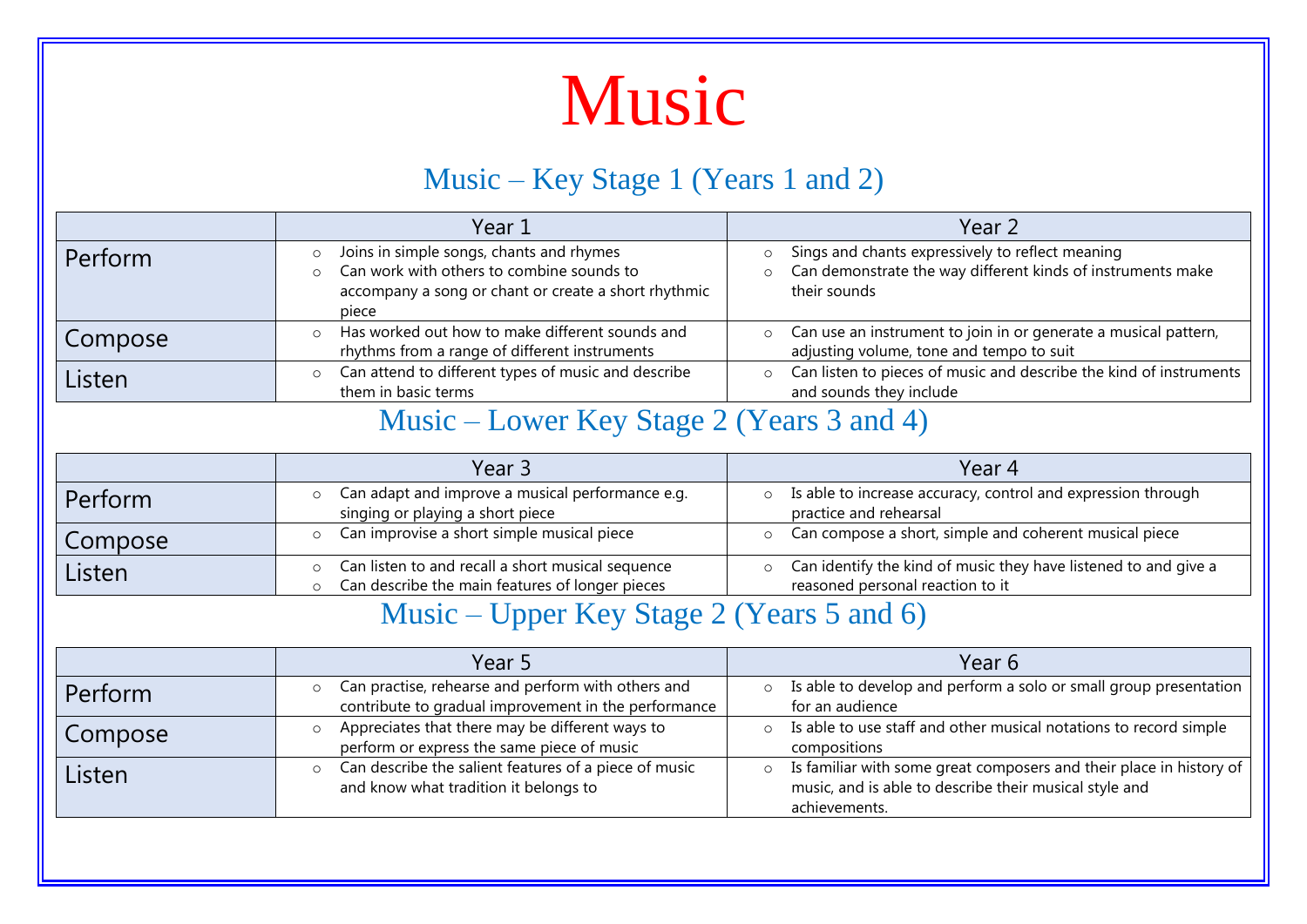### Music

#### Music – Key Stage 1 (Years 1 and 2)

|         | Year 1                                                                                                                                                 | Year 2                                                                                                                                     |
|---------|--------------------------------------------------------------------------------------------------------------------------------------------------------|--------------------------------------------------------------------------------------------------------------------------------------------|
| Perform | Joins in simple songs, chants and rhymes<br>Can work with others to combine sounds to<br>accompany a song or chant or create a short rhythmic<br>piece | Sings and chants expressively to reflect meaning<br>$\circ$<br>Can demonstrate the way different kinds of instruments make<br>their sounds |
| Compose | Has worked out how to make different sounds and<br>rhythms from a range of different instruments                                                       | Can use an instrument to join in or generate a musical pattern,<br>$\circ$<br>adjusting volume, tone and tempo to suit                     |
| Listen  | Can attend to different types of music and describe<br>$\circ$<br>them in basic terms                                                                  | Can listen to pieces of music and describe the kind of instruments<br>$\circ$<br>and sounds they include                                   |

#### Music – Lower Key Stage 2 (Years 3 and 4)

|         | Year 3                                                                                               | Year 4                                                                                              |
|---------|------------------------------------------------------------------------------------------------------|-----------------------------------------------------------------------------------------------------|
| Perform | Can adapt and improve a musical performance e.g.<br>$\circ$<br>singing or playing a short piece      | Is able to increase accuracy, control and expression through<br>practice and rehearsal              |
| Compose | Can improvise a short simple musical piece<br>$\circ$                                                | Can compose a short, simple and coherent musical piece                                              |
| Listen  | Can listen to and recall a short musical sequence<br>Can describe the main features of longer pieces | Can identify the kind of music they have listened to and give a<br>reasoned personal reaction to it |

#### Music – Upper Key Stage 2 (Years 5 and 6)

|         | Year 5                                                                                                     | Year 6                                                                                                                                         |
|---------|------------------------------------------------------------------------------------------------------------|------------------------------------------------------------------------------------------------------------------------------------------------|
| Perform | Can practise, rehearse and perform with others and<br>contribute to gradual improvement in the performance | Is able to develop and perform a solo or small group presentation<br>for an audience                                                           |
| Compose | Appreciates that there may be different ways to<br>perform or express the same piece of music              | Is able to use staff and other musical notations to record simple<br>compositions                                                              |
| Listen  | Can describe the salient features of a piece of music<br>and know what tradition it belongs to             | Is familiar with some great composers and their place in history of<br>music, and is able to describe their musical style and<br>achievements. |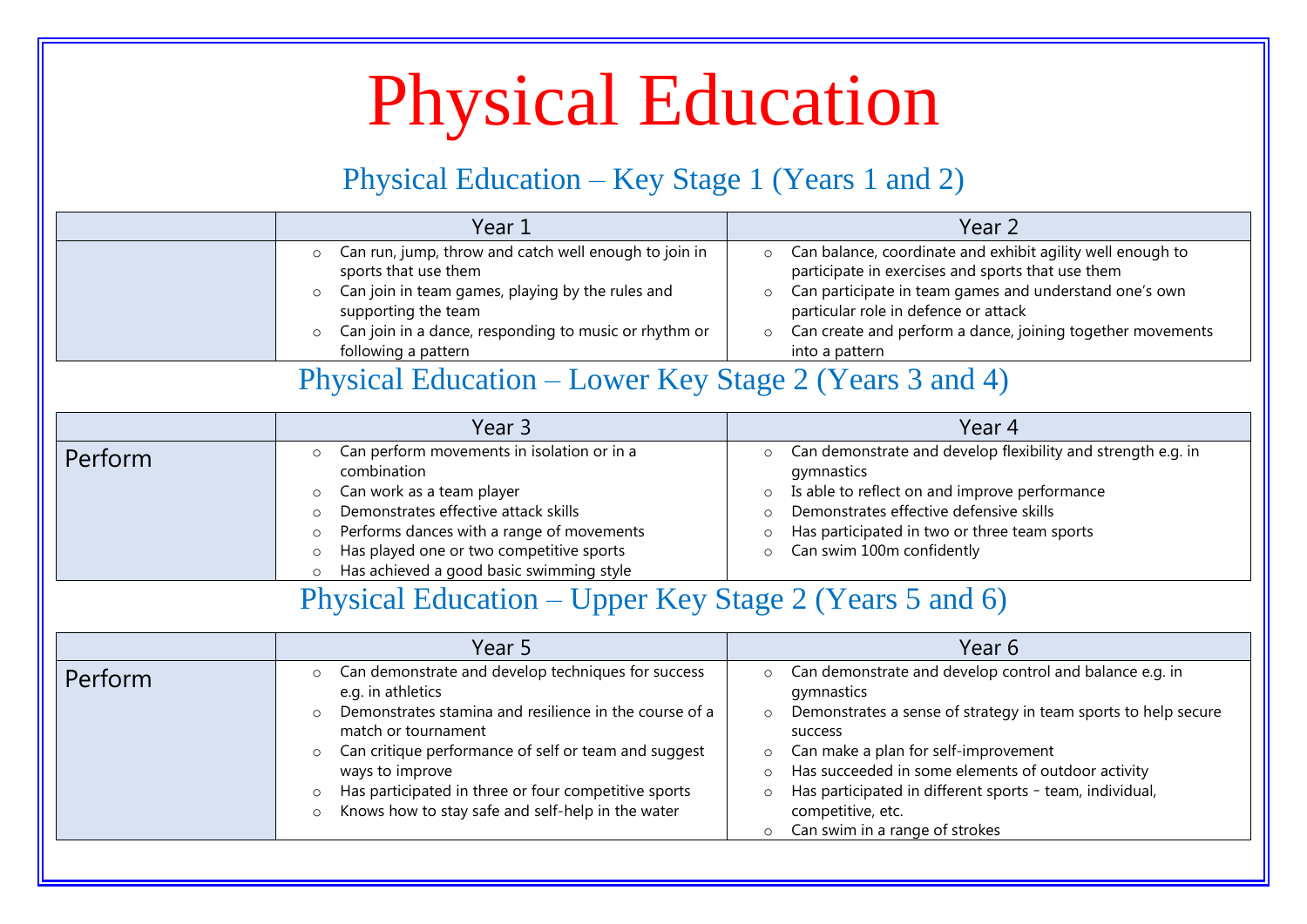## Physical Education

#### Physical Education – Key Stage 1 (Years 1 and 2)

|         | Year 1                                                                                                                                                                                                                                                                                                                                                                                                   | Year 2                                                                                                                                                                                                                                                                                                                                                                                                                                |
|---------|----------------------------------------------------------------------------------------------------------------------------------------------------------------------------------------------------------------------------------------------------------------------------------------------------------------------------------------------------------------------------------------------------------|---------------------------------------------------------------------------------------------------------------------------------------------------------------------------------------------------------------------------------------------------------------------------------------------------------------------------------------------------------------------------------------------------------------------------------------|
|         | Can run, jump, throw and catch well enough to join in<br>$\circ$<br>sports that use them<br>Can join in team games, playing by the rules and<br>$\circ$<br>supporting the team<br>Can join in a dance, responding to music or rhythm or<br>$\circ$<br>following a pattern<br>Physical Education – Lower Key Stage 2 (Years 3 and 4)                                                                      | Can balance, coordinate and exhibit agility well enough to<br>$\circ$<br>participate in exercises and sports that use them<br>Can participate in team games and understand one's own<br>$\circ$<br>particular role in defence or attack<br>Can create and perform a dance, joining together movements<br>$\Omega$<br>into a pattern                                                                                                   |
|         | Year 3                                                                                                                                                                                                                                                                                                                                                                                                   | Year 4                                                                                                                                                                                                                                                                                                                                                                                                                                |
| Perform | Can perform movements in isolation or in a<br>$\circ$<br>combination<br>Can work as a team player<br>$\circ$<br>Demonstrates effective attack skills<br>$\circ$<br>Performs dances with a range of movements<br>$\circ$<br>Has played one or two competitive sports<br>$\circ$<br>Has achieved a good basic swimming style<br>$\circ$                                                                    | Can demonstrate and develop flexibility and strength e.g. in<br>$\circ$<br>gymnastics<br>Is able to reflect on and improve performance<br>$\circ$<br>Demonstrates effective defensive skills<br>$\circ$<br>Has participated in two or three team sports<br>$\circ$<br>Can swim 100m confidently<br>$\circ$                                                                                                                            |
|         | Physical Education – Upper Key Stage 2 (Years 5 and 6)                                                                                                                                                                                                                                                                                                                                                   |                                                                                                                                                                                                                                                                                                                                                                                                                                       |
|         | Year 5                                                                                                                                                                                                                                                                                                                                                                                                   | Year 6                                                                                                                                                                                                                                                                                                                                                                                                                                |
| Perform | Can demonstrate and develop techniques for success<br>$\circ$<br>e.g. in athletics<br>Demonstrates stamina and resilience in the course of a<br>$\circ$<br>match or tournament<br>Can critique performance of self or team and suggest<br>$\circ$<br>ways to improve<br>Has participated in three or four competitive sports<br>$\circ$<br>Knows how to stay safe and self-help in the water<br>$\Omega$ | Can demonstrate and develop control and balance e.g. in<br>$\circ$<br>gymnastics<br>Demonstrates a sense of strategy in team sports to help secure<br>$\circ$<br>success<br>Can make a plan for self-improvement<br>$\circ$<br>Has succeeded in some elements of outdoor activity<br>$\circ$<br>Has participated in different sports - team, individual,<br>$\circ$<br>competitive, etc.<br>Can swim in a range of strokes<br>$\circ$ |